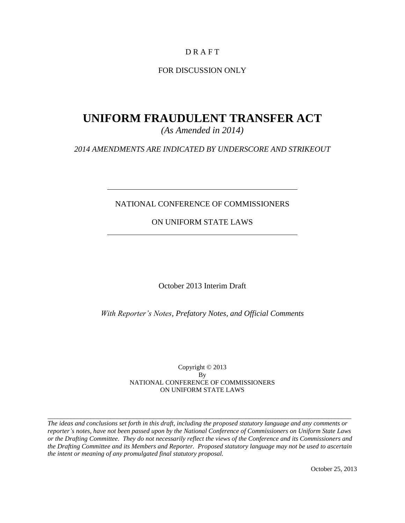#### D R A F T

FOR DISCUSSION ONLY

# **UNIFORM FRAUDULENT TRANSFER ACT** *(As Amended in 2014)*

*2014 AMENDMENTS ARE INDICATED BY UNDERSCORE AND STRIKEOUT*

#### NATIONAL CONFERENCE OF COMMISSIONERS

ON UNIFORM STATE LAWS

October 2013 Interim Draft

*With Reporter's Notes, Prefatory Notes, and Official Comments*

Copyright © 2013 By NATIONAL CONFERENCE OF COMMISSIONERS ON UNIFORM STATE LAWS

*The ideas and conclusions set forth in this draft, including the proposed statutory language and any comments or reporter's notes, have not been passed upon by the National Conference of Commissioners on Uniform State Laws or the Drafting Committee. They do not necessarily reflect the views of the Conference and its Commissioners and the Drafting Committee and its Members and Reporter. Proposed statutory language may not be used to ascertain the intent or meaning of any promulgated final statutory proposal.*

*\_\_\_\_\_\_\_\_\_\_\_\_\_\_\_\_\_\_\_\_\_\_\_\_\_\_\_\_\_\_\_\_\_\_\_\_\_\_\_\_\_\_\_\_\_\_\_\_\_\_\_\_\_\_\_\_\_\_\_\_\_\_\_\_\_\_\_\_\_\_\_\_\_\_\_\_\_\_\_\_\_\_\_\_\_\_\_\_\_\_\_\_*

October 25, 2013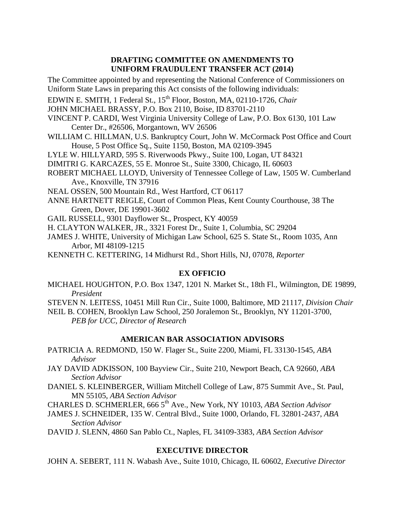#### **DRAFTING COMMITTEE ON AMENDMENTS TO UNIFORM FRAUDULENT TRANSFER ACT (2014)**

The Committee appointed by and representing the National Conference of Commissioners on Uniform State Laws in preparing this Act consists of the following individuals:

- EDWIN E. SMITH, 1 Federal St., 15th Floor, Boston, MA, 02110-1726, *Chair*
- JOHN MICHAEL BRASSY, P.O. Box 2110, Boise, ID 83701-2110
- VINCENT P. CARDI, West Virginia University College of Law, P.O. Box 6130, 101 Law Center Dr., #26506, Morgantown, WV 26506
- WILLIAM C. HILLMAN, U.S. Bankruptcy Court, John W. McCormack Post Office and Court House, 5 Post Office Sq., Suite 1150, Boston, MA 02109-3945
- LYLE W. HILLYARD, 595 S. Riverwoods Pkwy., Suite 100, Logan, UT 84321
- DIMITRI G. KARCAZES, 55 E. Monroe St., Suite 3300, Chicago, IL 60603
- ROBERT MICHAEL LLOYD, University of Tennessee College of Law, 1505 W. Cumberland Ave., Knoxville, TN 37916
- NEAL OSSEN, 500 Mountain Rd., West Hartford, CT 06117
- ANNE HARTNETT REIGLE, Court of Common Pleas, Kent County Courthouse, 38 The Green, Dover, DE 19901-3602
- GAIL RUSSELL, 9301 Dayflower St., Prospect, KY 40059
- H. CLAYTON WALKER, JR., 3321 Forest Dr., Suite 1, Columbia, SC 29204
- JAMES J. WHITE, University of Michigan Law School, 625 S. State St., Room 1035, Ann Arbor, MI 48109-1215
- KENNETH C. KETTERING, 14 Midhurst Rd., Short Hills, NJ, 07078, *Reporter*

#### **EX OFFICIO**

- MICHAEL HOUGHTON, P.O. Box 1347, 1201 N. Market St., 18th Fl., Wilmington, DE 19899, *President*
- STEVEN N. LEITESS, 10451 Mill Run Cir.*,* Suite 1000, Baltimore, MD 21117, *Division Chair* NEIL B. COHEN, Brooklyn Law School, 250 Joralemon St., Brooklyn, NY 11201-3700, *PEB for UCC, Director of Research*

#### **AMERICAN BAR ASSOCIATION ADVISORS**

- PATRICIA A. REDMOND, 150 W. Flager St., Suite 2200, Miami, FL 33130-1545, *ABA Advisor*
- JAY DAVID ADKISSON, 100 Bayview Cir., Suite 210, Newport Beach, CA 92660, *ABA Section Advisor*
- DANIEL S. KLEINBERGER, William Mitchell College of Law, 875 Summit Ave., St. Paul, MN 55105, *ABA Section Advisor*
- CHARLES D. SCHMERLER, 666 5th Ave., New York, NY 10103, *ABA Section Advisor*
- JAMES J. SCHNEIDER, 135 W. Central Blvd., Suite 1000, Orlando, FL 32801-2437, *ABA Section Advisor*

DAVID J. SLENN, 4860 San Pablo Ct., Naples, FL 34109-3383, *ABA Section Advisor*

#### **EXECUTIVE DIRECTOR**

JOHN A. SEBERT, 111 N. Wabash Ave., Suite 1010, Chicago, IL 60602, *Executive Director*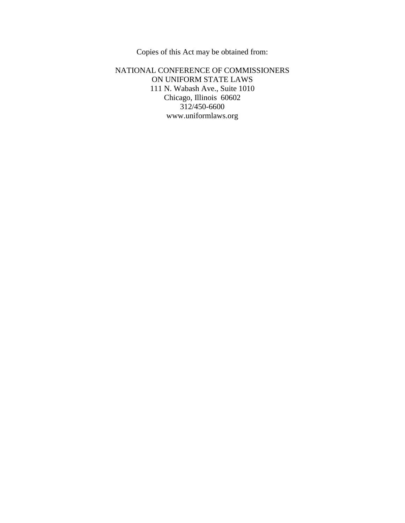Copies of this Act may be obtained from:

NATIONAL CONFERENCE OF COMMISSIONERS ON UNIFORM STATE LAWS 111 N. Wabash Ave., Suite 1010 Chicago, Illinois 60602 312/450-6600 [www.uniformlaws.org](http://www.uniformlaws.org/)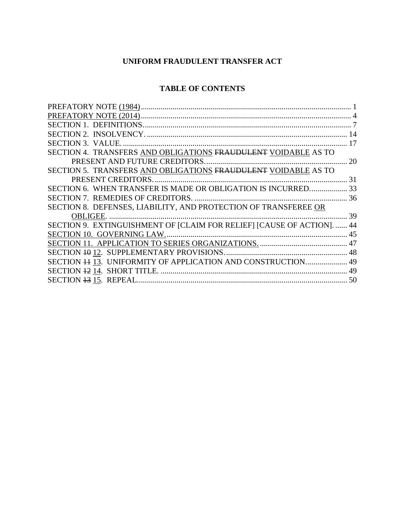### **UNIFORM FRAUDULENT TRANSFER ACT**

# **TABLE OF CONTENTS**

|                                                                   | 14 |
|-------------------------------------------------------------------|----|
| <b>SECTION 3. VALUE.</b>                                          | 17 |
| SECTION 4. TRANSFERS AND OBLIGATIONS FRAUDULENT VOIDABLE AS TO    |    |
|                                                                   | 20 |
| SECTION 5. TRANSFERS AND OBLIGATIONS FRAUDULENT VOIDABLE AS TO    |    |
|                                                                   | 31 |
| SECTION 6. WHEN TRANSFER IS MADE OR OBLIGATION IS INCURRED 33     |    |
|                                                                   |    |
| SECTION 8. DEFENSES, LIABILITY, AND PROTECTION OF TRANSFEREE OR   |    |
| OBLIGEE.                                                          | 39 |
| SECTION 9. EXTINGUISHMENT OF [CLAIM FOR RELIEF] [CAUSE OF ACTION] | 44 |
|                                                                   |    |
|                                                                   |    |
|                                                                   |    |
| SECTION 44 13. UNIFORMITY OF APPLICATION AND CONSTRUCTION 49      |    |
|                                                                   |    |
|                                                                   |    |
|                                                                   |    |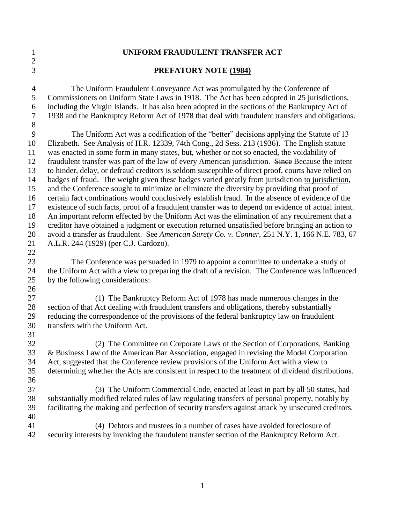#### **UNIFORM FRAUDULENT TRANSFER ACT**

#### **PREFATORY NOTE (1984)**

 The Uniform Fraudulent Conveyance Act was promulgated by the Conference of Commissioners on Uniform State Laws in 1918. The Act has been adopted in 25 jurisdictions, including the Virgin Islands. It has also been adopted in the sections of the Bankruptcy Act of 1938 and the Bankruptcy Reform Act of 1978 that deal with fraudulent transfers and obligations. The Uniform Act was a codification of the "better" decisions applying the Statute of 13 Elizabeth. See Analysis of H.R. 12339, 74th Cong., 2d Sess. 213 (1936). The English statute was enacted in some form in many states, but, whether or not so enacted, the voidability of 12 fraudulent transfer was part of the law of every American jurisdiction. Since Because the intent to hinder, delay, or defraud creditors is seldom susceptible of direct proof, courts have relied on badges of fraud. The weight given these badges varied greatly from jurisdiction to jurisdiction, and the Conference sought to minimize or eliminate the diversity by providing that proof of certain fact combinations would conclusively establish fraud. In the absence of evidence of the existence of such facts, proof of a fraudulent transfer was to depend on evidence of actual intent. An important reform effected by the Uniform Act was the elimination of any requirement that a creditor have obtained a judgment or execution returned unsatisfied before bringing an action to avoid a transfer as fraudulent. See *American Surety Co. v. Conner*, 251 N.Y. 1, 166 N.E. 783, 67 A.L.R. 244 (1929) (per C.J. Cardozo). The Conference was persuaded in 1979 to appoint a committee to undertake a study of the Uniform Act with a view to preparing the draft of a revision. The Conference was influenced by the following considerations: (1) The Bankruptcy Reform Act of 1978 has made numerous changes in the section of that Act dealing with fraudulent transfers and obligations, thereby substantially reducing the correspondence of the provisions of the federal bankruptcy law on fraudulent transfers with the Uniform Act. (2) The Committee on Corporate Laws of the Section of Corporations, Banking & Business Law of the American Bar Association, engaged in revising the Model Corporation Act, suggested that the Conference review provisions of the Uniform Act with a view to determining whether the Acts are consistent in respect to the treatment of dividend distributions. (3) The Uniform Commercial Code, enacted at least in part by all 50 states, had substantially modified related rules of law regulating transfers of personal property, notably by facilitating the making and perfection of security transfers against attack by unsecured creditors. (4) Debtors and trustees in a number of cases have avoided foreclosure of

security interests by invoking the fraudulent transfer section of the Bankruptcy Reform Act.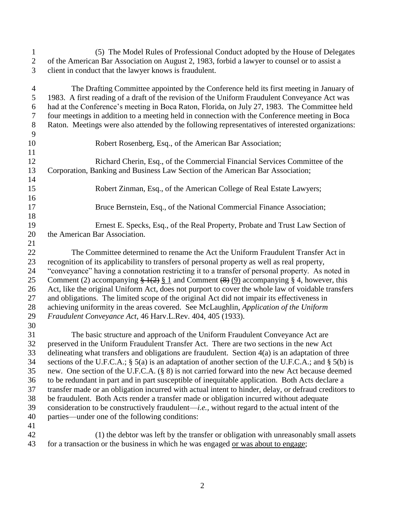| $\mathbf{1}$        | (5) The Model Rules of Professional Conduct adopted by the House of Delegates                                                                                                                   |
|---------------------|-------------------------------------------------------------------------------------------------------------------------------------------------------------------------------------------------|
| $\sqrt{2}$          | of the American Bar Association on August 2, 1983, forbid a lawyer to counsel or to assist a                                                                                                    |
| 3                   | client in conduct that the lawyer knows is fraudulent.                                                                                                                                          |
| $\overline{4}$<br>5 | The Drafting Committee appointed by the Conference held its first meeting in January of<br>1983. A first reading of a draft of the revision of the Uniform Fraudulent Conveyance Act was        |
| 6                   | had at the Conference's meeting in Boca Raton, Florida, on July 27, 1983. The Committee held                                                                                                    |
| $\boldsymbol{7}$    | four meetings in addition to a meeting held in connection with the Conference meeting in Boca                                                                                                   |
| $\,8\,$             | Raton. Meetings were also attended by the following representatives of interested organizations:                                                                                                |
| 9                   |                                                                                                                                                                                                 |
| 10                  | Robert Rosenberg, Esq., of the American Bar Association;                                                                                                                                        |
| 11                  |                                                                                                                                                                                                 |
| 12                  | Richard Cherin, Esq., of the Commercial Financial Services Committee of the                                                                                                                     |
| 13                  | Corporation, Banking and Business Law Section of the American Bar Association;                                                                                                                  |
| 14                  |                                                                                                                                                                                                 |
| 15                  | Robert Zinman, Esq., of the American College of Real Estate Lawyers;                                                                                                                            |
| 16                  |                                                                                                                                                                                                 |
| 17                  | Bruce Bernstein, Esq., of the National Commercial Finance Association;                                                                                                                          |
| 18                  |                                                                                                                                                                                                 |
| 19                  | Ernest E. Specks, Esq., of the Real Property, Probate and Trust Law Section of                                                                                                                  |
| 20                  | the American Bar Association.                                                                                                                                                                   |
| 21                  |                                                                                                                                                                                                 |
| 22                  | The Committee determined to rename the Act the Uniform Fraudulent Transfer Act in                                                                                                               |
| 23                  | recognition of its applicability to transfers of personal property as well as real property,                                                                                                    |
| 24                  | "conveyance" having a connotation restricting it to a transfer of personal property. As noted in                                                                                                |
| 25                  |                                                                                                                                                                                                 |
| 26                  | Comment (2) accompanying $\frac{2}{3}$ 1(2) $\frac{8}{3}$ 1 and Comment (8) (9) accompanying $\frac{2}{3}$ 4, however, this                                                                     |
|                     | Act, like the original Uniform Act, does not purport to cover the whole law of voidable transfers<br>and obligations. The limited scope of the original Act did not impair its effectiveness in |
| 27<br>28            |                                                                                                                                                                                                 |
| 29                  | achieving uniformity in the areas covered. See McLaughlin, Application of the Uniform<br>Fraudulent Conveyance Act, 46 Harv.L.Rev. 404, 405 (1933).                                             |
| 30                  |                                                                                                                                                                                                 |
| 31                  | The basic structure and approach of the Uniform Fraudulent Conveyance Act are                                                                                                                   |
| 32                  | preserved in the Uniform Fraudulent Transfer Act. There are two sections in the new Act                                                                                                         |
| 33                  | delineating what transfers and obligations are fraudulent. Section $4(a)$ is an adaptation of three                                                                                             |
| 34                  |                                                                                                                                                                                                 |
|                     | sections of the U.F.C.A.; $\S$ 5(a) is an adaptation of another section of the U.F.C.A.; and $\S$ 5(b) is                                                                                       |
| 35                  | new. One section of the U.F.C.A. (§ 8) is not carried forward into the new Act because deemed                                                                                                   |
| 36                  | to be redundant in part and in part susceptible of inequitable application. Both Acts declare a                                                                                                 |
| 37                  | transfer made or an obligation incurred with actual intent to hinder, delay, or defraud creditors to                                                                                            |
| 38                  | be fraudulent. Both Acts render a transfer made or obligation incurred without adequate                                                                                                         |
| 39                  | consideration to be constructively fraudulent— <i>i.e.</i> , without regard to the actual intent of the                                                                                         |
| 40                  | parties—under one of the following conditions:                                                                                                                                                  |
| 41                  |                                                                                                                                                                                                 |
| 42                  | (1) the debtor was left by the transfer or obligation with unreasonably small assets                                                                                                            |
| 43                  | for a transaction or the business in which he was engaged or was about to engage;                                                                                                               |
|                     |                                                                                                                                                                                                 |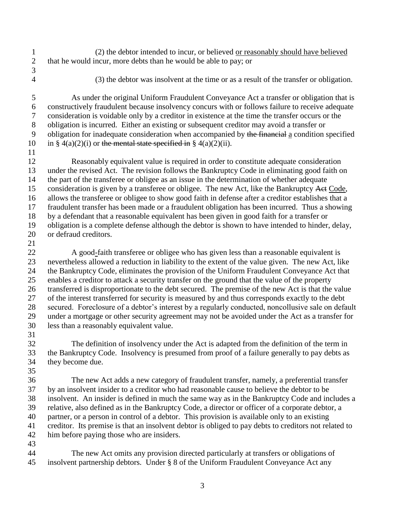- (2) the debtor intended to incur, or believed or reasonably should have believed that he would incur, more debts than he would be able to pay; or
- 

(3) the debtor was insolvent at the time or as a result of the transfer or obligation.

 As under the original Uniform Fraudulent Conveyance Act a transfer or obligation that is constructively fraudulent because insolvency concurs with or follows failure to receive adequate consideration is voidable only by a creditor in existence at the time the transfer occurs or the obligation is incurred. Either an existing or subsequent creditor may avoid a transfer or obligation for inadequate consideration when accompanied by the financial a condition specified 10 in § 4(a)(2)(i) or the mental state specified in § 4(a)(2)(ii).

 Reasonably equivalent value is required in order to constitute adequate consideration under the revised Act. The revision follows the Bankruptcy Code in eliminating good faith on the part of the transferee or obligee as an issue in the determination of whether adequate 15 consideration is given by a transferee or obligee. The new Act, like the Bankruptcy Act Code, allows the transferee or obligee to show good faith in defense after a creditor establishes that a fraudulent transfer has been made or a fraudulent obligation has been incurred. Thus a showing by a defendant that a reasonable equivalent has been given in good faith for a transfer or obligation is a complete defense although the debtor is shown to have intended to hinder, delay, 20 or defraud creditors.

22 A good-faith transferee or obligee who has given less than a reasonable equivalent is nevertheless allowed a reduction in liability to the extent of the value given. The new Act, like the Bankruptcy Code, eliminates the provision of the Uniform Fraudulent Conveyance Act that enables a creditor to attack a security transfer on the ground that the value of the property transferred is disproportionate to the debt secured. The premise of the new Act is that the value of the interest transferred for security is measured by and thus corresponds exactly to the debt secured. Foreclosure of a debtor's interest by a regularly conducted, noncollusive sale on default under a mortgage or other security agreement may not be avoided under the Act as a transfer for less than a reasonably equivalent value.

 The definition of insolvency under the Act is adapted from the definition of the term in the Bankruptcy Code. Insolvency is presumed from proof of a failure generally to pay debts as they become due.

 The new Act adds a new category of fraudulent transfer, namely, a preferential transfer by an insolvent insider to a creditor who had reasonable cause to believe the debtor to be insolvent. An insider is defined in much the same way as in the Bankruptcy Code and includes a relative, also defined as in the Bankruptcy Code, a director or officer of a corporate debtor, a partner, or a person in control of a debtor. This provision is available only to an existing creditor. Its premise is that an insolvent debtor is obliged to pay debts to creditors not related to him before paying those who are insiders.

 The new Act omits any provision directed particularly at transfers or obligations of insolvent partnership debtors. Under § 8 of the Uniform Fraudulent Conveyance Act any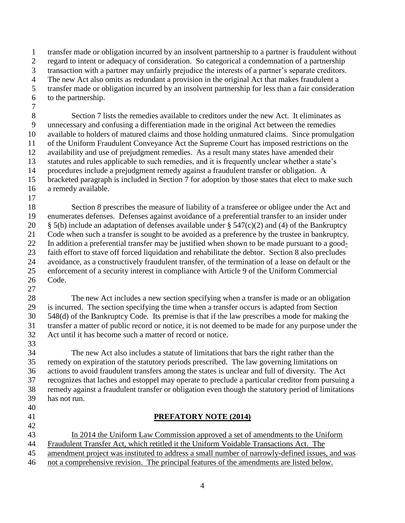transfer made or obligation incurred by an insolvent partnership to a partner is fraudulent without regard to intent or adequacy of consideration. So categorical a condemnation of a partnership transaction with a partner may unfairly prejudice the interests of a partner's separate creditors. The new Act also omits as redundant a provision in the original Act that makes fraudulent a transfer made or obligation incurred by an insolvent partnership for less than a fair consideration to the partnership.

 Section 7 lists the remedies available to creditors under the new Act. It eliminates as unnecessary and confusing a differentiation made in the original Act between the remedies available to holders of matured claims and those holding unmatured claims. Since promulgation of the Uniform Fraudulent Conveyance Act the Supreme Court has imposed restrictions on the availability and use of prejudgment remedies. As a result many states have amended their statutes and rules applicable to such remedies, and it is frequently unclear whether a state's procedures include a prejudgment remedy against a fraudulent transfer or obligation. A bracketed paragraph is included in Section 7 for adoption by those states that elect to make such a remedy available.

 Section 8 prescribes the measure of liability of a transferee or obligee under the Act and enumerates defenses. Defenses against avoidance of a preferential transfer to an insider under 20 § 5(b) include an adaptation of defenses available under § 547(c)(2) and (4) of the Bankruptcy Code when such a transfer is sought to be avoided as a preference by the trustee in bankruptcy. In addition a preferential transfer may be justified when shown to be made pursuant to a good- faith effort to stave off forced liquidation and rehabilitate the debtor. Section 8 also precludes avoidance, as a constructively fraudulent transfer, of the termination of a lease on default or the enforcement of a security interest in compliance with Article 9 of the Uniform Commercial Code.

 The new Act includes a new section specifying when a transfer is made or an obligation is incurred. The section specifying the time when a transfer occurs is adapted from Section 548(d) of the Bankruptcy Code. Its premise is that if the law prescribes a mode for making the transfer a matter of public record or notice, it is not deemed to be made for any purpose under the Act until it has become such a matter of record or notice.

 The new Act also includes a statute of limitations that bars the right rather than the remedy on expiration of the statutory periods prescribed. The law governing limitations on actions to avoid fraudulent transfers among the states is unclear and full of diversity. The Act recognizes that laches and estoppel may operate to preclude a particular creditor from pursuing a remedy against a fraudulent transfer or obligation even though the statutory period of limitations has not run.

- 
- 

## **PREFATORY NOTE (2014)**

 In 2014 the Uniform Law Commission approved a set of amendments to the Uniform Fraudulent Transfer Act, which retitled it the Uniform Voidable Transactions Act. The amendment project was instituted to address a small number of narrowly-defined issues, and was not a comprehensive revision. The principal features of the amendments are listed below.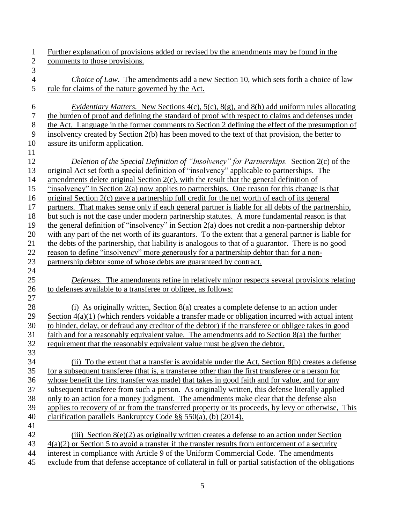Further explanation of provisions added or revised by the amendments may be found in the comments to those provisions. *Choice of Law*. The amendments add a new Section 10, which sets forth a choice of law rule for claims of the nature governed by the Act. *Evidentiary Matters.* New Sections 4(c), 5(c), 8(g), and 8(h) add uniform rules allocating the burden of proof and defining the standard of proof with respect to claims and defenses under the Act. Language in the former comments to Section 2 defining the effect of the presumption of insolvency created by Section 2(b) has been moved to the text of that provision, the better to assure its uniform application. *Deletion of the Special Definition of "Insolvency" for Partnerships.* Section 2(c) of the original Act set forth a special definition of "insolvency" applicable to partnerships. The amendments delete original Section 2(c), with the result that the general definition of "insolvency" in Section 2(a) now applies to partnerships. One reason for this change is that original Section 2(c) gave a partnership full credit for the net worth of each of its general partners. That makes sense only if each general partner is liable for all debts of the partnership, but such is not the case under modern partnership statutes. A more fundamental reason is that the general definition of "insolvency" in Section 2(a) does not credit a non-partnership debtor with any part of the net worth of its guarantors. To the extent that a general partner is liable for the debts of the partnership, that liability is analogous to that of a guarantor. There is no good reason to define "insolvency" more generously for a partnership debtor than for a non- partnership debtor some of whose debts are guaranteed by contract. *Defenses*. The amendments refine in relatively minor respects several provisions relating 26 to defenses available to a transferee or obligee, as follows: (i) As originally written, Section 8(a) creates a complete defense to an action under 29 Section  $4(a)(1)$  (which renders voidable a transfer made or obligation incurred with actual intent to hinder, delay, or defraud any creditor of the debtor) if the transferee or obligee takes in good faith and for a reasonably equivalent value. The amendments add to Section 8(a) the further requirement that the reasonably equivalent value must be given the debtor. (ii) To the extent that a transfer is avoidable under the Act, Section 8(b) creates a defense for a subsequent transferee (that is, a transferee other than the first transferee or a person for whose benefit the first transfer was made) that takes in good faith and for value, and for any subsequent transferee from such a person. As originally written, this defense literally applied only to an action for a money judgment. The amendments make clear that the defense also applies to recovery of or from the transferred property or its proceeds, by levy or otherwise, This clarification parallels Bankruptcy Code §§ 550(a), (b) (2014). (iii) Section 8(e)(2) as originally written creates a defense to an action under Section 4(a)(2) or Section 5 to avoid a transfer if the transfer results from enforcement of a security interest in compliance with Article 9 of the Uniform Commercial Code. The amendments exclude from that defense acceptance of collateral in full or partial satisfaction of the obligations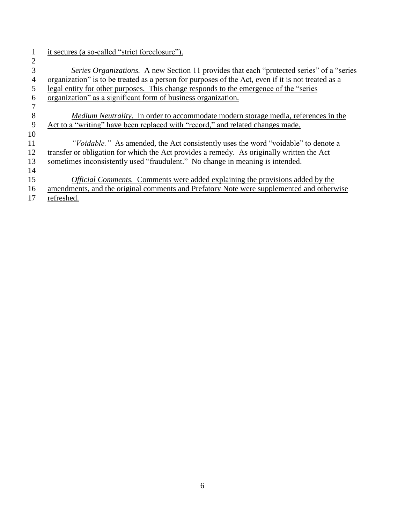|    | it secures (a so-called "strict foreclosure").                                                     |
|----|----------------------------------------------------------------------------------------------------|
| 2  |                                                                                                    |
| 3  | Series Organizations. A new Section 11 provides that each "protected series" of a "series"         |
| 4  | organization" is to be treated as a person for purposes of the Act, even if it is not treated as a |
| 5  | legal entity for other purposes. This change responds to the emergence of the "series"             |
| 6  | organization" as a significant form of business organization.                                      |
|    |                                                                                                    |
| 8  | <i>Medium Neutrality.</i> In order to accommodate modern storage media, references in the          |
| 9  | Act to a "writing" have been replaced with "record," and related changes made.                     |
| 10 |                                                                                                    |
| 11 | <i>"Voidable."</i> As amended, the Act consistently uses the word "voidable" to denote a           |
| 12 | transfer or obligation for which the Act provides a remedy. As originally written the Act          |
| 13 | sometimes inconsistently used "fraudulent." No change in meaning is intended.                      |
| 14 |                                                                                                    |
| 15 | <i>Official Comments.</i> Comments were added explaining the provisions added by the               |
| 16 | amendments, and the original comments and Prefatory Note were supplemented and otherwise           |
| 17 | refreshed.                                                                                         |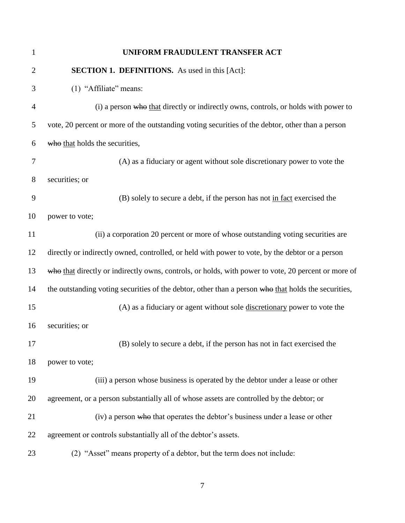| $\mathbf{1}$   | UNIFORM FRAUDULENT TRANSFER ACT                                                                     |
|----------------|-----------------------------------------------------------------------------------------------------|
| $\overline{c}$ | <b>SECTION 1. DEFINITIONS.</b> As used in this [Act]:                                               |
| 3              | (1) "Affiliate" means:                                                                              |
| $\overline{4}$ | (i) a person who that directly or indirectly owns, controls, or holds with power to                 |
| 5              | vote, 20 percent or more of the outstanding voting securities of the debtor, other than a person    |
| 6              | who that holds the securities,                                                                      |
| 7              | (A) as a fiduciary or agent without sole discretionary power to vote the                            |
| 8              | securities; or                                                                                      |
| 9              | (B) solely to secure a debt, if the person has not in fact exercised the                            |
| 10             | power to vote;                                                                                      |
| 11             | (ii) a corporation 20 percent or more of whose outstanding voting securities are                    |
| 12             | directly or indirectly owned, controlled, or held with power to vote, by the debtor or a person     |
| 13             | who that directly or indirectly owns, controls, or holds, with power to vote, 20 percent or more of |
| 14             | the outstanding voting securities of the debtor, other than a person who that holds the securities, |
| 15             | (A) as a fiduciary or agent without sole discretionary power to vote the                            |
| 16             | securities; or                                                                                      |
| 17             | (B) solely to secure a debt, if the person has not in fact exercised the                            |
| 18             | power to vote;                                                                                      |
| 19             | (iii) a person whose business is operated by the debtor under a lease or other                      |
| 20             | agreement, or a person substantially all of whose assets are controlled by the debtor; or           |
| 21             | (iv) a person who that operates the debtor's business under a lease or other                        |
| 22             | agreement or controls substantially all of the debtor's assets.                                     |
| 23             | (2) "Asset" means property of a debtor, but the term does not include:                              |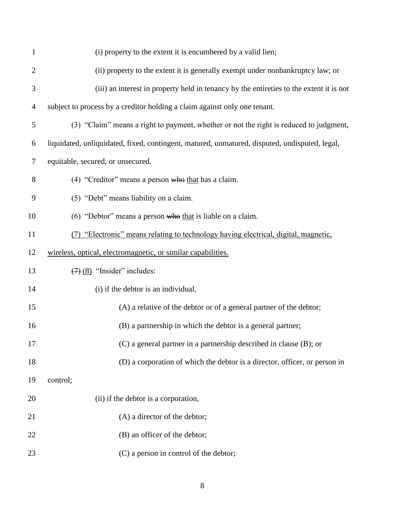| $\mathbf{1}$   | (i) property to the extent it is encumbered by a valid lien;                                  |
|----------------|-----------------------------------------------------------------------------------------------|
| $\mathbf{2}$   | (ii) property to the extent it is generally exempt under nonbankruptcy law; or                |
| 3              | (iii) an interest in property held in tenancy by the entireties to the extent it is not       |
| $\overline{4}$ | subject to process by a creditor holding a claim against only one tenant.                     |
| 5              | (3) "Claim" means a right to payment, whether or not the right is reduced to judgment,        |
| 6              | liquidated, unliquidated, fixed, contingent, matured, unmatured, disputed, undisputed, legal, |
| $\tau$         | equitable, secured, or unsecured.                                                             |
| $8\,$          | (4) "Creditor" means a person who that has a claim.                                           |
| 9              | (5) "Debt" means liability on a claim.                                                        |
| 10             | (6) "Debtor" means a person who that is liable on a claim.                                    |
| 11             | (7) "Electronic" means relating to technology having electrical, digital, magnetic,           |
| 12             | wireless, optical, electromagnetic, or similar capabilities.                                  |
| 13             | $(7)$ $(8)$ "Insider" includes:                                                               |
| 14             | (i) if the debtor is an individual,                                                           |
| 15             | (A) a relative of the debtor or of a general partner of the debtor;                           |
| 16             | (B) a partnership in which the debtor is a general partner;                                   |
| 17             | (C) a general partner in a partnership described in clause (B); or                            |
| 18             | (D) a corporation of which the debtor is a director, officer, or person in                    |
| 19             | control;                                                                                      |
| 20             | (ii) if the debtor is a corporation,                                                          |
| 21             | (A) a director of the debtor;                                                                 |
| 22             | (B) an officer of the debtor;                                                                 |
| 23             | (C) a person in control of the debtor;                                                        |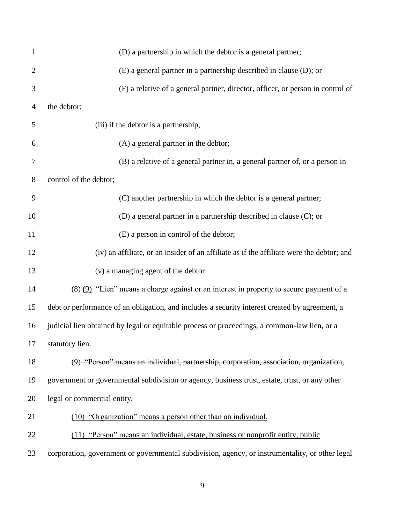| 1              | (D) a partnership in which the debtor is a general partner;                                     |
|----------------|-------------------------------------------------------------------------------------------------|
| $\overline{2}$ | (E) a general partner in a partnership described in clause (D); or                              |
| 3              | (F) a relative of a general partner, director, officer, or person in control of                 |
| 4              | the debtor;                                                                                     |
| 5              | (iii) if the debtor is a partnership,                                                           |
| 6              | (A) a general partner in the debtor;                                                            |
| 7              | (B) a relative of a general partner in, a general partner of, or a person in                    |
| $8\,$          | control of the debtor;                                                                          |
| 9              | (C) another partnership in which the debtor is a general partner;                               |
| 10             | (D) a general partner in a partnership described in clause (C); or                              |
| 11             | (E) a person in control of the debtor;                                                          |
| 12             | (iv) an affiliate, or an insider of an affiliate as if the affiliate were the debtor; and       |
| 13             | (v) a managing agent of the debtor.                                                             |
| 14             | $(8)$ (9) "Lien" means a charge against or an interest in property to secure payment of a       |
| 15             | debt or performance of an obligation, and includes a security interest created by agreement, a  |
| 16             | judicial lien obtained by legal or equitable process or proceedings, a common-law lien, or a    |
| 17             | statutory lien.                                                                                 |
| 18             | (9) "Person" means an individual, partnership, corporation, association, organization,          |
| 19             | government or governmental subdivision or agency, business trust, estate, trust, or any other   |
| 20             | legal or commercial entity.                                                                     |
| 21             | (10) "Organization" means a person other than an individual.                                    |
| 22             | (11) "Person" means an individual, estate, business or nonprofit entity, public                 |
| 23             | corporation, government or governmental subdivision, agency, or instrumentality, or other legal |
|                |                                                                                                 |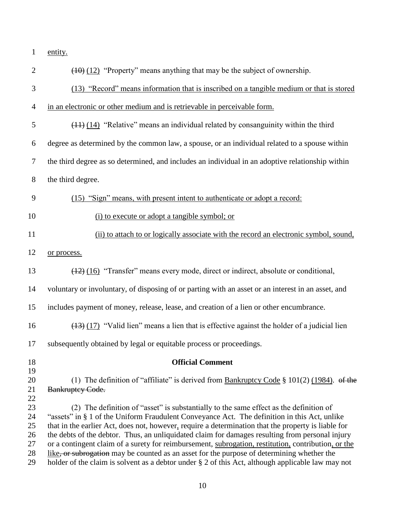entity.

| $\overline{2}$ | $(10)$ $(12)$ "Property" means anything that may be the subject of ownership.                                                                                                                     |
|----------------|---------------------------------------------------------------------------------------------------------------------------------------------------------------------------------------------------|
| 3              | (13) "Record" means information that is inscribed on a tangible medium or that is stored                                                                                                          |
| 4              | in an electronic or other medium and is retrievable in perceivable form.                                                                                                                          |
| 5              | $(11)$ (14) "Relative" means an individual related by consanguinity within the third                                                                                                              |
| 6              | degree as determined by the common law, a spouse, or an individual related to a spouse within                                                                                                     |
| $\tau$         | the third degree as so determined, and includes an individual in an adoptive relationship within                                                                                                  |
| $8\,$          | the third degree.                                                                                                                                                                                 |
| 9              | (15) "Sign" means, with present intent to authenticate or adopt a record:                                                                                                                         |
| 10             | (i) to execute or adopt a tangible symbol; or                                                                                                                                                     |
| 11             | (ii) to attach to or logically associate with the record an electronic symbol, sound,                                                                                                             |
| 12             | or process.                                                                                                                                                                                       |
| 13             | (12) (16) "Transfer" means every mode, direct or indirect, absolute or conditional,                                                                                                               |
| 14             | voluntary or involuntary, of disposing of or parting with an asset or an interest in an asset, and                                                                                                |
| 15             | includes payment of money, release, lease, and creation of a lien or other encumbrance.                                                                                                           |
| 16             | $(13)$ (17) "Valid lien" means a lien that is effective against the holder of a judicial lien                                                                                                     |
| 17             | subsequently obtained by legal or equitable process or proceedings.                                                                                                                               |
| 18             | <b>Official Comment</b>                                                                                                                                                                           |
| 19             |                                                                                                                                                                                                   |
| 20             | (1) The definition of "affiliate" is derived from <b>Bankruptcy Code</b> § 101(2) $(1984)$ . of the                                                                                               |
| 21<br>22       | <b>Bankruptey Code.</b>                                                                                                                                                                           |
| 23             | (2) The definition of "asset" is substantially to the same effect as the definition of                                                                                                            |
| 24             | "assets" in § 1 of the Uniform Fraudulent Conveyance Act. The definition in this Act, unlike                                                                                                      |
| 25             | that in the earlier Act, does not, however, require a determination that the property is liable for                                                                                               |
| 26             | the debts of the debtor. Thus, an unliquidated claim for damages resulting from personal injury                                                                                                   |
| 27<br>28       | or a contingent claim of a surety for reimbursement, subrogation, restitution, contribution, or the<br>like, or subrogation may be counted as an asset for the purpose of determining whether the |
| 29             | holder of the claim is solvent as a debtor under § 2 of this Act, although applicable law may not                                                                                                 |
|                |                                                                                                                                                                                                   |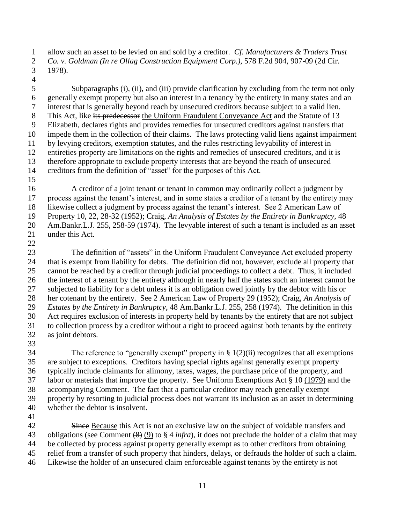allow such an asset to be levied on and sold by a creditor. *Cf. Manufacturers & Traders Trust* 

- *Co. v. Goldman (In re Ollag Construction Equipment Corp.),* 578 F.2d 904, 907-09 (2d Cir. 1978).
- 

 Subparagraphs (i), (ii), and (iii) provide clarification by excluding from the term not only generally exempt property but also an interest in a tenancy by the entirety in many states and an interest that is generally beyond reach by unsecured creditors because subject to a valid lien. 8 This Act, like its predecessor the Uniform Fraudulent Conveyance Act and the Statute of 13 Elizabeth, declares rights and provides remedies for unsecured creditors against transfers that impede them in the collection of their claims. The laws protecting valid liens against impairment by levying creditors, exemption statutes, and the rules restricting levyability of interest in entireties property are limitations on the rights and remedies of unsecured creditors, and it is therefore appropriate to exclude property interests that are beyond the reach of unsecured creditors from the definition of "asset" for the purposes of this Act.

 A creditor of a joint tenant or tenant in common may ordinarily collect a judgment by process against the tenant's interest, and in some states a creditor of a tenant by the entirety may likewise collect a judgment by process against the tenant's interest. See 2 American Law of Property 10, 22, 28-32 (1952); Craig, *An Analysis of Estates by the Entirety in Bankruptcy*, 48 Am.Bankr.L.J. 255, 258-59 (1974). The levyable interest of such a tenant is included as an asset under this Act. 

 The definition of "assets" in the Uniform Fraudulent Conveyance Act excluded property that is exempt from liability for debts. The definition did not, however, exclude all property that cannot be reached by a creditor through judicial proceedings to collect a debt. Thus, it included the interest of a tenant by the entirety although in nearly half the states such an interest cannot be subjected to liability for a debt unless it is an obligation owed jointly by the debtor with his or her cotenant by the entirety. See 2 American Law of Property 29 (1952); Craig, *An Analysis of Estates by the Entirety in Bankruptcy*, 48 Am.Bankr.L.J. 255, 258 (1974). The definition in this Act requires exclusion of interests in property held by tenants by the entirety that are not subject to collection process by a creditor without a right to proceed against both tenants by the entirety as joint debtors.

 The reference to "generally exempt" property in § 1(2)(ii) recognizes that all exemptions are subject to exceptions. Creditors having special rights against generally exempt property typically include claimants for alimony, taxes, wages, the purchase price of the property, and labor or materials that improve the property. See Uniform Exemptions Act § 10 (1979) and the accompanying Comment. The fact that a particular creditor may reach generally exempt property by resorting to judicial process does not warrant its inclusion as an asset in determining whether the debtor is insolvent.

 Since Because this Act is not an exclusive law on the subject of voidable transfers and obligations (see Comment (8) (9) to § 4 *infra*), it does not preclude the holder of a claim that may be collected by process against property generally exempt as to other creditors from obtaining relief from a transfer of such property that hinders, delays, or defrauds the holder of such a claim. Likewise the holder of an unsecured claim enforceable against tenants by the entirety is not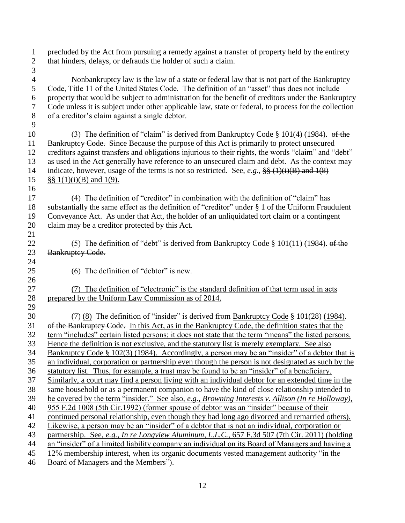precluded by the Act from pursuing a remedy against a transfer of property held by the entirety that hinders, delays, or defrauds the holder of such a claim. 

- Nonbankruptcy law is the law of a state or federal law that is not part of the Bankruptcy Code, Title 11 of the United States Code. The definition of an "asset" thus does not include property that would be subject to administration for the benefit of creditors under the Bankruptcy Code unless it is subject under other applicable law, state or federal, to process for the collection of a creditor's claim against a single debtor.
- 10 (3) The definition of "claim" is derived from Bankruptcy Code § 101(4) (1984). of the 11 Bankruptcy Code. Since Because the purpose of this Act is primarily to protect unsecured creditors against transfers and obligations injurious to their rights, the words "claim" and "debt" as used in the Act generally have reference to an unsecured claim and debt. As the context may indicate, however, usage of the terms is not so restricted. See, *e.g.,* §§ (1)(i)(B) and 1(8) 15 §§  $1(1)(i)(B)$  and  $1(9)$ .
- (4) The definition of "creditor" in combination with the definition of "claim" has substantially the same effect as the definition of "creditor" under § 1 of the Uniform Fraudulent Conveyance Act. As under that Act, the holder of an unliquidated tort claim or a contingent claim may be a creditor protected by this Act.
- 22 (5) The definition of "debt" is derived from Bankruptcy Code § 101(11) (1984). of the 23 Bankruptcy Code.
- (6) The definition of "debtor" is new.

- (7) The definition of "electronic" is the standard definition of that term used in acts prepared by the Uniform Law Commission as of 2014.
- 30  $(7)$  (8) The definition of "insider" is derived from Bankruptcy Code § 101(28) (1984). 31 of the Bankruptcy Code. In this Act, as in the Bankruptcy Code, the definition states that the 32 term "includes" certain listed persons; it does not state that the term "means" the listed persons. Hence the definition is not exclusive, and the statutory list is merely exemplary. See also Bankruptcy Code § 102(3) (1984). Accordingly, a person may be an "insider" of a debtor that is an individual, corporation or partnership even though the person is not designated as such by the statutory list. Thus, for example, a trust may be found to be an "insider" of a beneficiary. Similarly, a court may find a person living with an individual debtor for an extended time in the same household or as a permanent companion to have the kind of close relationship intended to be covered by the term "insider." See also, *e.g., Browning Interests v. Allison (In re Holloway),* 955 F.2d 1008 (5th Cir.1992) (former spouse of debtor was an "insider" because of their continued personal relationship, even though they had long ago divorced and remarried others). Likewise, a person may be an "insider" of a debtor that is not an individual, corporation or partnership. See, *e.g., In re Longview Aluminum, L.L.C.*, 657 F.3d 507 (7th Cir. 2011) (holding an "insider" of a limited liability company an individual on its Board of Managers and having a 12% membership interest, when its organic documents vested management authority "in the Board of Managers and the Members").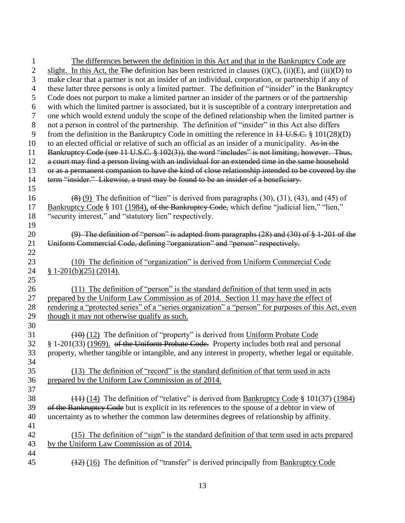The differences between the definition in this Act and that in the Bankruptcy Code are 2 slight. In this Act, the The definition has been restricted in clauses (i)(C), (ii)(E), and (iii)(D) to make clear that a partner is not an insider of an individual, corporation, or partnership if any of these latter three persons is only a limited partner. The definition of "insider" in the Bankruptcy Code does not purport to make a limited partner an insider of the partners or of the partnership with which the limited partner is associated, but it is susceptible of a contrary interpretation and one which would extend unduly the scope of the defined relationship when the limited partner is not a person in control of the partnership. The definition of "insider" in this Act also differs 9 from the definition in the Bankruptcy Code in omitting the reference in  $11 \text{ U.S. C. }$  § 101(28)(D) 10 to an elected official or relative of such an official as an insider of a municipality. As in the 11 Bankruptcy Code (see 11 U.S.C. § 102(3)), the word "includes" is not limiting, however. Thus, a court may find a person living with an individual for an extended time in the same household or as a permanent companion to have the kind of close relationship intended to be covered by the term "insider." Likewise, a trust may be found to be an insider of a beneficiary. 16 (8) (9) The definition of "lien" is derived from paragraphs  $(30)$ ,  $(31)$ ,  $(43)$ , and  $(45)$  of 17 Bankruptcy Code § 101 (1984), of the Bankruptcy Code, which define "judicial lien," "lien," "security interest," and "statutory lien" respectively. (9) The definition of "person" is adapted from paragraphs (28) and (30) of § 1-201 of the Uniform Commercial Code, defining "organization" and "person" respectively. (10) The definition of "organization" is derived from Uniform Commercial Code § 1-201(b)(25) (2014). (11) The definition of "person" is the standard definition of that term used in acts prepared by the Uniform Law Commission as of 2014. Section 11 may have the effect of rendering a "protected series" of a "series organization" a "person" for purposes of this Act, even though it may not otherwise qualify as such.  $\left(10\right)\left(12\right)$  The definition of "property" is derived from Uniform Probate Code § 1-201(33) (1969). of the Uniform Probate Code. Property includes both real and personal property, whether tangible or intangible, and any interest in property, whether legal or equitable. 35 (13) The definition of "record" is the standard definition of that term used in acts prepared by the Uniform Law Commission as of 2014.  $(11)$  (14) The definition of "relative" is derived from Bankruptcy Code § 101(37) (1984) of the Bankruptcy Code but is explicit in its references to the spouse of a debtor in view of uncertainty as to whether the common law determines degrees of relationship by affinity. (15) The definition of "sign" is the standard definition of that term used in acts prepared by the Uniform Law Commission as of 2014. (12) (16) The definition of "transfer" is derived principally from Bankruptcy Code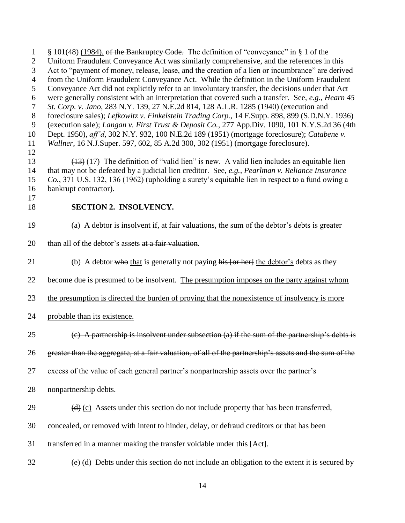| $\mathbf{1}$<br>$\mathbf{2}$<br>3<br>$\overline{4}$<br>5<br>$6\,$<br>$\tau$<br>$8\,$<br>$\overline{9}$<br>10<br>11<br>12<br>13<br>14<br>15<br>16<br>17 | § 101(48) (1984), of the Bankruptcy Code. The definition of "conveyance" in § 1 of the<br>Uniform Fraudulent Conveyance Act was similarly comprehensive, and the references in this<br>Act to "payment of money, release, lease, and the creation of a lien or incumbrance" are derived<br>from the Uniform Fraudulent Conveyance Act. While the definition in the Uniform Fraudulent<br>Conveyance Act did not explicitly refer to an involuntary transfer, the decisions under that Act<br>were generally consistent with an interpretation that covered such a transfer. See, e.g., Hearn 45<br>St. Corp. v. Jano, 283 N.Y. 139, 27 N.E.2d 814, 128 A.L.R. 1285 (1940) (execution and<br>foreclosure sales); Lefkowitz v. Finkelstein Trading Corp., 14 F.Supp. 898, 899 (S.D.N.Y. 1936)<br>(execution sale); Langan v. First Trust & Deposit Co., 277 App.Div. 1090, 101 N.Y.S.2d 36 (4th<br>Dept. 1950), aff'd, 302 N.Y. 932, 100 N.E.2d 189 (1951) (mortgage foreclosure); Catabene v.<br>Wallner, 16 N.J.Super. 597, 602, 85 A.2d 300, 302 (1951) (mortgage foreclosure).<br>$(13)$ (17) The definition of "valid lien" is new. A valid lien includes an equitable lien<br>that may not be defeated by a judicial lien creditor. See, e.g., Pearlman v. Reliance Insurance<br>Co., 371 U.S. 132, 136 (1962) (upholding a surety's equitable lien in respect to a fund owing a<br>bankrupt contractor). |
|--------------------------------------------------------------------------------------------------------------------------------------------------------|---------------------------------------------------------------------------------------------------------------------------------------------------------------------------------------------------------------------------------------------------------------------------------------------------------------------------------------------------------------------------------------------------------------------------------------------------------------------------------------------------------------------------------------------------------------------------------------------------------------------------------------------------------------------------------------------------------------------------------------------------------------------------------------------------------------------------------------------------------------------------------------------------------------------------------------------------------------------------------------------------------------------------------------------------------------------------------------------------------------------------------------------------------------------------------------------------------------------------------------------------------------------------------------------------------------------------------------------------------------------------------------------------------------|
| 18                                                                                                                                                     | <b>SECTION 2. INSOLVENCY.</b>                                                                                                                                                                                                                                                                                                                                                                                                                                                                                                                                                                                                                                                                                                                                                                                                                                                                                                                                                                                                                                                                                                                                                                                                                                                                                                                                                                                 |
| 19                                                                                                                                                     | (a) A debtor is insolvent if, at fair valuations, the sum of the debtor's debts is greater                                                                                                                                                                                                                                                                                                                                                                                                                                                                                                                                                                                                                                                                                                                                                                                                                                                                                                                                                                                                                                                                                                                                                                                                                                                                                                                    |
| 20                                                                                                                                                     | than all of the debtor's assets at a fair valuation.                                                                                                                                                                                                                                                                                                                                                                                                                                                                                                                                                                                                                                                                                                                                                                                                                                                                                                                                                                                                                                                                                                                                                                                                                                                                                                                                                          |
| 21                                                                                                                                                     | (b) A debtor who that is generally not paying his for here the debtor's debts as they                                                                                                                                                                                                                                                                                                                                                                                                                                                                                                                                                                                                                                                                                                                                                                                                                                                                                                                                                                                                                                                                                                                                                                                                                                                                                                                         |
| 22                                                                                                                                                     | become due is presumed to be insolvent. The presumption imposes on the party against whom                                                                                                                                                                                                                                                                                                                                                                                                                                                                                                                                                                                                                                                                                                                                                                                                                                                                                                                                                                                                                                                                                                                                                                                                                                                                                                                     |
| 23                                                                                                                                                     | the presumption is directed the burden of proving that the nonexistence of insolvency is more                                                                                                                                                                                                                                                                                                                                                                                                                                                                                                                                                                                                                                                                                                                                                                                                                                                                                                                                                                                                                                                                                                                                                                                                                                                                                                                 |
| 24                                                                                                                                                     | probable than its existence.                                                                                                                                                                                                                                                                                                                                                                                                                                                                                                                                                                                                                                                                                                                                                                                                                                                                                                                                                                                                                                                                                                                                                                                                                                                                                                                                                                                  |
| 25                                                                                                                                                     | (c) A partnership is insolvent under subsection (a) if the sum of the partnership's debts is                                                                                                                                                                                                                                                                                                                                                                                                                                                                                                                                                                                                                                                                                                                                                                                                                                                                                                                                                                                                                                                                                                                                                                                                                                                                                                                  |
| 26                                                                                                                                                     | greater than the aggregate, at a fair valuation, of all of the partnership's assets and the sum of the                                                                                                                                                                                                                                                                                                                                                                                                                                                                                                                                                                                                                                                                                                                                                                                                                                                                                                                                                                                                                                                                                                                                                                                                                                                                                                        |
| 27                                                                                                                                                     | excess of the value of each general partner's nonpartnership assets over the partner's                                                                                                                                                                                                                                                                                                                                                                                                                                                                                                                                                                                                                                                                                                                                                                                                                                                                                                                                                                                                                                                                                                                                                                                                                                                                                                                        |
| 28                                                                                                                                                     | nonpartnership debts.                                                                                                                                                                                                                                                                                                                                                                                                                                                                                                                                                                                                                                                                                                                                                                                                                                                                                                                                                                                                                                                                                                                                                                                                                                                                                                                                                                                         |
| 29                                                                                                                                                     | $(d)$ (c) Assets under this section do not include property that has been transferred,                                                                                                                                                                                                                                                                                                                                                                                                                                                                                                                                                                                                                                                                                                                                                                                                                                                                                                                                                                                                                                                                                                                                                                                                                                                                                                                        |
| 30                                                                                                                                                     | concealed, or removed with intent to hinder, delay, or defraud creditors or that has been                                                                                                                                                                                                                                                                                                                                                                                                                                                                                                                                                                                                                                                                                                                                                                                                                                                                                                                                                                                                                                                                                                                                                                                                                                                                                                                     |
| 31                                                                                                                                                     | transferred in a manner making the transfer voidable under this [Act].                                                                                                                                                                                                                                                                                                                                                                                                                                                                                                                                                                                                                                                                                                                                                                                                                                                                                                                                                                                                                                                                                                                                                                                                                                                                                                                                        |
| 32                                                                                                                                                     | $\overline{(e)}$ (d) Debts under this section do not include an obligation to the extent it is secured by                                                                                                                                                                                                                                                                                                                                                                                                                                                                                                                                                                                                                                                                                                                                                                                                                                                                                                                                                                                                                                                                                                                                                                                                                                                                                                     |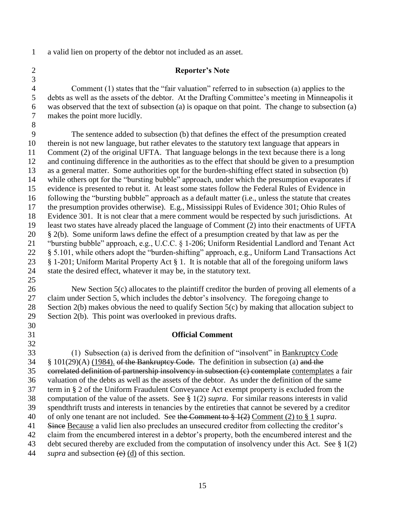a valid lien on property of the debtor not included as an asset.

#### **Reporter's Note**

 Comment (1) states that the "fair valuation" referred to in subsection (a) applies to the debts as well as the assets of the debtor. At the Drafting Committee's meeting in Minneapolis it was observed that the text of subsection (a) is opaque on that point. The change to subsection (a) makes the point more lucidly.

 The sentence added to subsection (b) that defines the effect of the presumption created therein is not new language, but rather elevates to the statutory text language that appears in Comment (2) of the original UFTA. That language belongs in the text because there is a long and continuing difference in the authorities as to the effect that should be given to a presumption as a general matter. Some authorities opt for the burden-shifting effect stated in subsection (b) while others opt for the "bursting bubble" approach, under which the presumption evaporates if evidence is presented to rebut it. At least some states follow the Federal Rules of Evidence in following the "bursting bubble" approach as a default matter (i.e., unless the statute that creates the presumption provides otherwise). E.g., Mississippi Rules of Evidence 301; Ohio Rules of Evidence 301. It is not clear that a mere comment would be respected by such jurisdictions. At least two states have already placed the language of Comment (2) into their enactments of UFTA 20 § 2(b). Some uniform laws define the effect of a presumption created by that law as per the "bursting bubble" approach, e.g., U.C.C. § 1-206; Uniform Residential Landlord and Tenant Act 22 § 5.101, while others adopt the "burden-shifting" approach, e.g., Uniform Land Transactions Act § 1-201; Uniform Marital Property Act § 1. It is notable that all of the foregoing uniform laws state the desired effect, whatever it may be, in the statutory text.

 New Section 5(c) allocates to the plaintiff creditor the burden of proving all elements of a claim under Section 5, which includes the debtor's insolvency. The foregoing change to Section 2(b) makes obvious the need to qualify Section 5(c) by making that allocation subject to Section 2(b). This point was overlooked in previous drafts. 

- **Official Comment**
- (1) Subsection (a) is derived from the definition of "insolvent" in Bankruptcy Code  $34 \frac{\sqrt{3}}{101(29)(A)}$  (1984). of the Bankruptcy Code. The definition in subsection (a) and the correlated definition of partnership insolvency in subsection (c) contemplate contemplates a fair valuation of the debts as well as the assets of the debtor. As under the definition of the same term in § 2 of the Uniform Fraudulent Conveyance Act exempt property is excluded from the computation of the value of the assets. See § 1(2) *supra*. For similar reasons interests in valid spendthrift trusts and interests in tenancies by the entireties that cannot be severed by a creditor of only one tenant are not included. See the Comment to § 1(2) Comment (2) to § 1 *supra*. Since Because a valid lien also precludes an unsecured creditor from collecting the creditor's claim from the encumbered interest in a debtor's property, both the encumbered interest and the debt secured thereby are excluded from the computation of insolvency under this Act. See § 1(2) 44 *supra* and subsection  $\left(\frac{e}{e}\right)$  (d) of this section.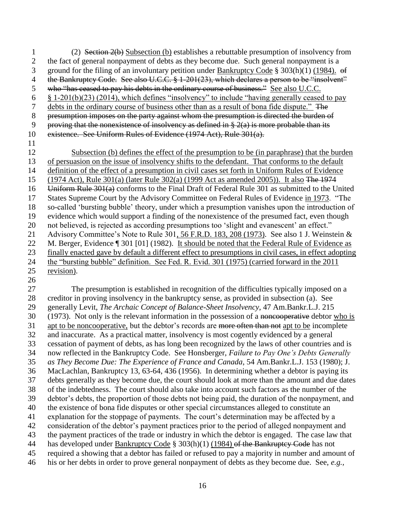(2) Section 2(b) Subsection (b) establishes a rebuttable presumption of insolvency from the fact of general nonpayment of debts as they become due. Such general nonpayment is a ground for the filing of an involuntary petition under Bankruptcy Code § 303(h)(1) (1984). of 4 the Bankruptcy Code. See also U.C.C. § 1-201(23), which declares a person to be "insolvent" who "has ceased to pay his debts in the ordinary course of business." See also U.C.C. § 1-201(b)(23) (2014), which defines "insolvency" to include "having generally ceased to pay debts in the ordinary course of business other than as a result of bona fide dispute." The presumption imposes on the party against whom the presumption is directed the burden of 9 proving that the nonexistence of insolvency as defined in  $\S 2(a)$  is more probable than its existence. See Uniform Rules of Evidence (1974 Act), Rule 301(a). Subsection (b) defines the effect of the presumption to be (in paraphrase) that the burden of persuasion on the issue of insolvency shifts to the defendant. That conforms to the default definition of the effect of a presumption in civil cases set forth in Uniform Rules of Evidence (1974 Act), Rule 301(a) (later Rule 302(a) (1999 Act as amended 2005)). It also The 1974 Uniform Rule 301(a) conforms to the Final Draft of Federal Rule 301 as submitted to the United States Supreme Court by the Advisory Committee on Federal Rules of Evidence in 1973. "The so-called 'bursting bubble' theory, under which a presumption vanishes upon the introduction of evidence which would support a finding of the nonexistence of the presumed fact, even though not believed, is rejected as according presumptions too 'slight and evanescent' an effect." Advisory Committee's Note to Rule 301, 56 F.R.D. 183, 208 (1973). See also 1 J. Weinstein & 22 M. Berger, Evidence ¶ 301 [01] (1982). It should be noted that the Federal Rule of Evidence as finally enacted gave by default a different effect to presumptions in civil cases, in effect adopting the "bursting bubble" definition. See Fed. R. Evid. 301 (1975) (carried forward in the 2011 revision).

 The presumption is established in recognition of the difficulties typically imposed on a creditor in proving insolvency in the bankruptcy sense, as provided in subsection (a). See generally Levit, *The Archaic Concept of Balance-Sheet Insolvency*, 47 Am.Bankr.L.J. 215 (1973). Not only is the relevant information in the possession of a noncooperative debtor who is 31 apt to be noncooperative, but the debtor's records are more often than not apt to be incomplete and inaccurate. As a practical matter, insolvency is most cogently evidenced by a general cessation of payment of debts, as has long been recognized by the laws of other countries and is now reflected in the Bankruptcy Code. See Honsberger, *Failure to Pay One's Debts Generally as They Become Due: The Experience of France and Canada*, 54 Am.Bankr.L.J. 153 (1980); J. MacLachlan, Bankruptcy 13, 63-64, 436 (1956). In determining whether a debtor is paying its debts generally as they become due, the court should look at more than the amount and due dates of the indebtedness. The court should also take into account such factors as the number of the debtor's debts, the proportion of those debts not being paid, the duration of the nonpayment, and the existence of bona fide disputes or other special circumstances alleged to constitute an explanation for the stoppage of payments. The court's determination may be affected by a consideration of the debtor's payment practices prior to the period of alleged nonpayment and the payment practices of the trade or industry in which the debtor is engaged. The case law that 44 has developed under Bankruptcy Code § 303(h)(1) (1984) of the Bankruptcy Code has not required a showing that a debtor has failed or refused to pay a majority in number and amount of his or her debts in order to prove general nonpayment of debts as they become due. See, *e.g.,*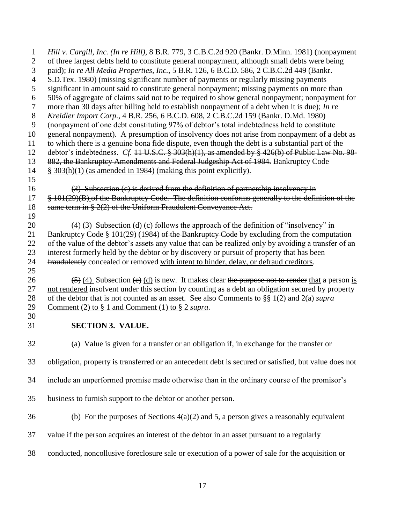*Hill v. Cargill, Inc. (In re Hill),* 8 B.R. 779, 3 C.B.C.2d 920 (Bankr. D.Minn. 1981) (nonpayment of three largest debts held to constitute general nonpayment, although small debts were being paid); *In re All Media Properties, Inc.,* 5 B.R. 126, 6 B.C.D. 586, 2 C.B.C.2d 449 (Bankr. S.D.Tex. 1980) (missing significant number of payments or regularly missing payments significant in amount said to constitute general nonpayment; missing payments on more than 50% of aggregate of claims said not to be required to show general nonpayment; nonpayment for more than 30 days after billing held to establish nonpayment of a debt when it is due); *In re Kreidler Import Corp.,* 4 B.R. 256, 6 B.C.D. 608, 2 C.B.C.2d 159 (Bankr. D.Md. 1980) (nonpayment of one debt constituting 97% of debtor's total indebtedness held to constitute general nonpayment). A presumption of insolvency does not arise from nonpayment of a debt as to which there is a genuine bona fide dispute, even though the debt is a substantial part of the debtor's indebtedness. *Cf.* 11 U.S.C. § 303(h)(1), as amended by § 426(b) of Public Law No. 98- 13 882, the Bankruptcy Amendments and Federal Judgeship Act of 1984. Bankruptcy Code § 303(h)(1) (as amended in 1984) (making this point explicitly). (3) Subsection (c) is derived from the definition of partnership insolvency in § 101(29)(B) of the Bankruptcy Code. The definition conforms generally to the definition of the same term in § 2(2) of the Uniform Fraudulent Conveyance Act. 20 (4) (3) Subsection (d) (c) follows the approach of the definition of "insolvency" in 21 Bankruptcy Code § 101(29) (1984) of the Bankruptcy Code by excluding from the computation of the value of the debtor's assets any value that can be realized only by avoiding a transfer of an interest formerly held by the debtor or by discovery or pursuit of property that has been fraudulently concealed or removed with intent to hinder, delay, or defraud creditors. 26 (5) (4) Subsection (e) (d) is new. It makes clear the purpose not to render that a person is not rendered insolvent under this section by counting as a debt an obligation secured by property of the debtor that is not counted as an asset. See also Comments to §§ 1(2) and 2(a) *supra* Comment (2) to § 1 and Comment (1) to § 2 *supra*. **SECTION 3. VALUE.** (a) Value is given for a transfer or an obligation if, in exchange for the transfer or obligation, property is transferred or an antecedent debt is secured or satisfied, but value does not include an unperformed promise made otherwise than in the ordinary course of the promisor's business to furnish support to the debtor or another person. 36 (b) For the purposes of Sections  $4(a)(2)$  and 5, a person gives a reasonably equivalent value if the person acquires an interest of the debtor in an asset pursuant to a regularly conducted, noncollusive foreclosure sale or execution of a power of sale for the acquisition or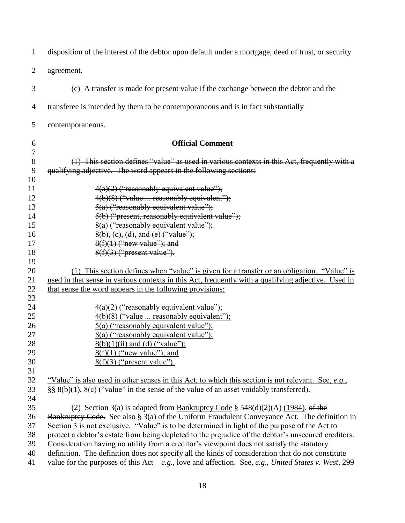| $\mathbf{1}$                                 | disposition of the interest of the debtor upon default under a mortgage, deed of trust, or security                                                                                                                                                                                                                                                                                                                                                                                                                                                                                                                                                                                                  |
|----------------------------------------------|------------------------------------------------------------------------------------------------------------------------------------------------------------------------------------------------------------------------------------------------------------------------------------------------------------------------------------------------------------------------------------------------------------------------------------------------------------------------------------------------------------------------------------------------------------------------------------------------------------------------------------------------------------------------------------------------------|
| 2                                            | agreement.                                                                                                                                                                                                                                                                                                                                                                                                                                                                                                                                                                                                                                                                                           |
| 3                                            | (c) A transfer is made for present value if the exchange between the debtor and the                                                                                                                                                                                                                                                                                                                                                                                                                                                                                                                                                                                                                  |
| 4                                            | transferee is intended by them to be contemporaneous and is in fact substantially                                                                                                                                                                                                                                                                                                                                                                                                                                                                                                                                                                                                                    |
| 5                                            | contemporaneous.                                                                                                                                                                                                                                                                                                                                                                                                                                                                                                                                                                                                                                                                                     |
| 6<br>$\boldsymbol{7}$                        | <b>Official Comment</b>                                                                                                                                                                                                                                                                                                                                                                                                                                                                                                                                                                                                                                                                              |
| $8\,$<br>9<br>10                             | (1) This section defines "value" as used in various contexts in this Act, frequently with a<br>qualifying adjective. The word appears in the following sections:                                                                                                                                                                                                                                                                                                                                                                                                                                                                                                                                     |
| 11<br>12<br>13<br>14                         | 4(a)(2) ("reasonably equivalent value");<br>$4(b)(8)$ ("value  reasonably equivalent");<br>5(a) ("reasonably equivalent value");<br>5(b) ("present, reasonably equivalent value");                                                                                                                                                                                                                                                                                                                                                                                                                                                                                                                   |
| 15<br>16<br>17<br>18                         | 8(a) ("reasonably equivalent value");<br>$8(b)$ , (e), (d), and (e) ("value");<br>$8(f)(1)$ ("new value"); and<br>$8(f)(3)$ ("present value").                                                                                                                                                                                                                                                                                                                                                                                                                                                                                                                                                       |
| 19<br>20<br>21<br>22                         | (1) This section defines when "value" is given for a transfer or an obligation. "Value" is<br>used in that sense in various contexts in this Act, frequently with a qualifying adjective. Used in<br>that sense the word appears in the following provisions:                                                                                                                                                                                                                                                                                                                                                                                                                                        |
| 23<br>24<br>25<br>26<br>27<br>28<br>29       | $4(a)(2)$ ("reasonably equivalent value");<br>$4(b)(8)$ ("value  reasonably equivalent");<br><u>5(a)</u> ("reasonably equivalent value");<br>8(a) ("reasonably equivalent value");<br>$8(b)(1)(ii)$ and (d) ("value");<br>$8(f)(1)$ ("new value"); and                                                                                                                                                                                                                                                                                                                                                                                                                                               |
| 30<br>31<br>32<br>33                         | $8(f)(3)$ ("present value").<br>"Value" is also used in other senses in this Act, to which this section is not relevant. See, e.g.,<br>$\S\S 8(6)(1)$ , $8(c)$ ("value" in the sense of the value of an asset voidably transferred).                                                                                                                                                                                                                                                                                                                                                                                                                                                                 |
| 34<br>35<br>36<br>37<br>38<br>39<br>40<br>41 | (2) Section 3(a) is adapted from Bankruptcy Code § $548(d)(2)(A)$ (1984). of the<br>Bankruptcy Code. See also $\S 3(a)$ of the Uniform Fraudulent Conveyance Act. The definition in<br>Section 3 is not exclusive. "Value" is to be determined in light of the purpose of the Act to<br>protect a debtor's estate from being depleted to the prejudice of the debtor's unsecured creditors.<br>Consideration having no utility from a creditor's viewpoint does not satisfy the statutory<br>definition. The definition does not specify all the kinds of consideration that do not constitute<br>value for the purposes of this Act-e.g., love and affection. See, e.g., United States v. West, 299 |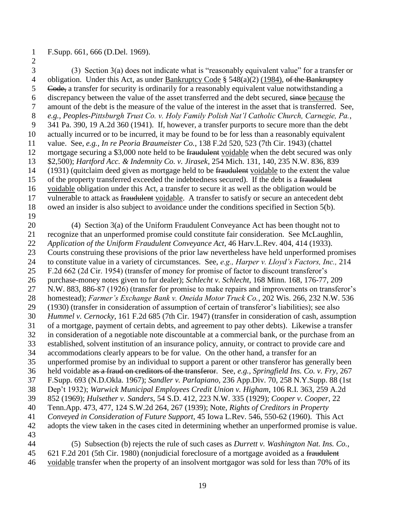- F.Supp. 661, 666 (D.Del. 1969).
- 

 (3) Section 3(a) does not indicate what is "reasonably equivalent value" for a transfer or 4 obligation. Under this Act, as under Bankruptcy Code  $\S$  548(a)(2) (1984), of the Bankruptcy 5 Code, a transfer for security is ordinarily for a reasonably equivalent value notwithstanding a discrepancy between the value of the asset transferred and the debt secured, since because the amount of the debt is the measure of the value of the interest in the asset that is transferred. See, *e.g., Peoples-Pittsburgh Trust Co. v. Holy Family Polish Nat'l Catholic Church, Carnegie, Pa.*, 341 Pa. 390, 19 A.2d 360 (1941). If, however, a transfer purports to secure more than the debt actually incurred or to be incurred, it may be found to be for less than a reasonably equivalent value. See, *e.g., In re Peoria Braumeister Co.*, 138 F.2d 520, 523 (7th Cir. 1943) (chattel mortgage securing a \$3,000 note held to be fraudulent voidable when the debt secured was only \$2,500); *Hartford Acc. & Indemnity Co. v. Jirasek*, 254 Mich. 131, 140, 235 N.W. 836, 839 (1931) (quitclaim deed given as mortgage held to be fraudulent voidable to the extent the value 15 of the property transferred exceeded the indebtedness secured). If the debt is a fraudulent voidable obligation under this Act, a transfer to secure it as well as the obligation would be 17 vulnerable to attack as fraudulent voidable. A transfer to satisfy or secure an antecedent debt owed an insider is also subject to avoidance under the conditions specified in Section 5(b). (4) Section 3(a) of the Uniform Fraudulent Conveyance Act has been thought not to

 recognize that an unperformed promise could constitute fair consideration. See McLaughlin, *Application of the Uniform Fraudulent Conveyance Act*, 46 Harv.L.Rev. 404, 414 (1933). Courts construing these provisions of the prior law nevertheless have held unperformed promises to constitute value in a variety of circumstances. See, *e.g., Harper v. Lloyd's Factors, Inc.,* 214 F.2d 662 (2d Cir. 1954) (transfer of money for promise of factor to discount transferor's purchase-money notes given to fur dealer); *Schlecht v. Schlecht*, 168 Minn. 168, 176-77, 209 N.W. 883, 886-87 (1926) (transfer for promise to make repairs and improvements on transferor's homestead); *Farmer's Exchange Bank v. Oneida Motor Truck Co.*, 202 Wis. 266, 232 N.W. 536 (1930) (transfer in consideration of assumption of certain of transferor's liabilities); see also *Hummel v. Cernocky*, 161 F.2d 685 (7th Cir. 1947) (transfer in consideration of cash, assumption of a mortgage, payment of certain debts, and agreement to pay other debts). Likewise a transfer in consideration of a negotiable note discountable at a commercial bank, or the purchase from an established, solvent institution of an insurance policy, annuity, or contract to provide care and accommodations clearly appears to be for value. On the other hand, a transfer for an unperformed promise by an individual to support a parent or other transferor has generally been held voidable as a fraud on creditors of the transferor. See, *e.g., Springfield Ins. Co. v. Fry,* 267 F.Supp. 693 (N.D.Okla. 1967); *Sandler v. Parlapiano*, 236 App.Div. 70, 258 N.Y.Supp. 88 (1st Dep't 1932); *Warwick Municipal Employees Credit Union v. Higham*, 106 R.I. 363, 259 A.2d 852 (1969); *Hulsether v. Sanders*, 54 S.D. 412, 223 N.W. 335 (1929); *Cooper v. Cooper*, 22 Tenn.App. 473, 477, 124 S.W.2d 264, 267 (1939); Note, *Rights of Creditors in Property Conveyed in Consideration of Future Support*, 45 Iowa L.Rev. 546, 550-62 (1960). This Act adopts the view taken in the cases cited in determining whether an unperformed promise is value. (5) Subsection (b) rejects the rule of such cases as *Durrett v. Washington Nat. Ins. Co.,* 621 F.2d 201 (5th Cir. 1980) (nonjudicial foreclosure of a mortgage avoided as a fraudulent

voidable transfer when the property of an insolvent mortgagor was sold for less than 70% of its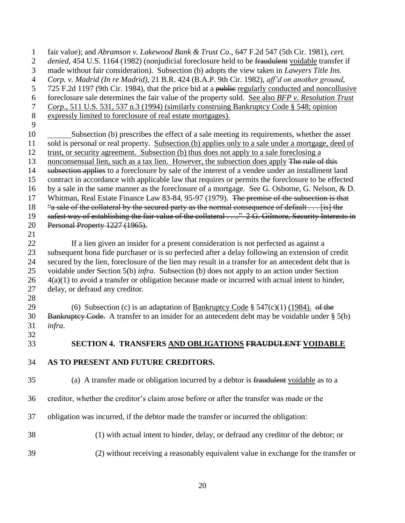fair value); and *Abramson v. Lakewood Bank & Trust Co.,* 647 F.2d 547 (5th Cir. 1981), *cert. denied*, 454 U.S. 1164 (1982) (nonjudicial foreclosure held to be fraudulent voidable transfer if made without fair consideration). Subsection (b) adopts the view taken in *Lawyers Title Ins. Corp. v. Madrid (In re Madrid)*, 21 B.R. 424 (B.A.P. 9th Cir. 1982), *aff'd on another ground*, 5 725 F.2d 1197 (9th Cir. 1984), that the price bid at a public regularly conducted and noncollusive foreclosure sale determines the fair value of the property sold. See also *BFP v. Resolution Trust Corp*., 511 U.S. 531, 537 n.3 (1994) (similarly construing Bankruptcy Code § 548; opinion expressly limited to foreclosure of real estate mortgages). Subsection (b) prescribes the effect of a sale meeting its requirements, whether the asset sold is personal or real property. Subsection (b) applies only to a sale under a mortgage, deed of trust, or security agreement. Subsection (b) thus does not apply to a sale foreclosing a 13 nonconsensual lien, such as a tax lien. However, the subsection does apply The rule of this subsection applies to a foreclosure by sale of the interest of a vendee under an installment land contract in accordance with applicable law that requires or permits the foreclosure to be effected by a sale in the same manner as the foreclosure of a mortgage. See G. Osborne, G. Nelson, & D. 17 Whitman, Real Estate Finance Law 83-84, 95-97 (1979). The premise of the subsection is that 18 "a sale of the collateral by the secured party as the normal consequence of default . . . [is] the 19 safest way of establishing the fair value of the collateral . . .." 2 G. Gilmore, Security Interests in Personal Property 1227 (1965). If a lien given an insider for a present consideration is not perfected as against a subsequent bona fide purchaser or is so perfected after a delay following an extension of credit secured by the lien, foreclosure of the lien may result in a transfer for an antecedent debt that is voidable under Section 5(b) *infra*. Subsection (b) does not apply to an action under Section 4(a)(1) to avoid a transfer or obligation because made or incurred with actual intent to hinder, delay, or defraud any creditor. 29 (6) Subsection (c) is an adaptation of Bankruptcy Code  $\S$  547(c)(1) (1984). of the Bankruptcy Code. A transfer to an insider for an antecedent debt may be voidable under § 5(b) *infra*. **SECTION 4. TRANSFERS AND OBLIGATIONS FRAUDULENT VOIDABLE AS TO PRESENT AND FUTURE CREDITORS.** 35 (a) A transfer made or obligation incurred by a debtor is fraudulent voidable as to a creditor, whether the creditor's claim arose before or after the transfer was made or the obligation was incurred, if the debtor made the transfer or incurred the obligation: (1) with actual intent to hinder, delay, or defraud any creditor of the debtor; or (2) without receiving a reasonably equivalent value in exchange for the transfer or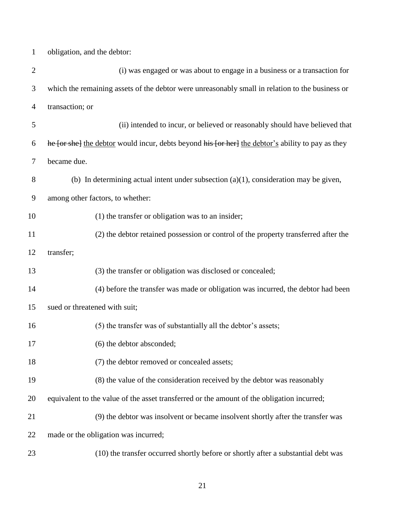| 1 | obligation, and the debtor: |  |  |  |
|---|-----------------------------|--|--|--|
|---|-----------------------------|--|--|--|

| $\overline{2}$ | (i) was engaged or was about to engage in a business or a transaction for                         |
|----------------|---------------------------------------------------------------------------------------------------|
| 3              | which the remaining assets of the debtor were unreasonably small in relation to the business or   |
| $\overline{4}$ | transaction; or                                                                                   |
| 5              | (ii) intended to incur, or believed or reasonably should have believed that                       |
| 6              | he [or she] the debtor would incur, debts beyond his [or her] the debtor's ability to pay as they |
| 7              | became due.                                                                                       |
| $8\phantom{.}$ | (b) In determining actual intent under subsection $(a)(1)$ , consideration may be given,          |
| 9              | among other factors, to whether:                                                                  |
| 10             | (1) the transfer or obligation was to an insider;                                                 |
| 11             | (2) the debtor retained possession or control of the property transferred after the               |
| 12             | transfer;                                                                                         |
| 13             | (3) the transfer or obligation was disclosed or concealed;                                        |
| 14             | (4) before the transfer was made or obligation was incurred, the debtor had been                  |
| 15             | sued or threatened with suit;                                                                     |
| 16             | (5) the transfer was of substantially all the debtor's assets;                                    |
| 17             | (6) the debtor absconded;                                                                         |
| 18             | (7) the debtor removed or concealed assets;                                                       |
| 19             | (8) the value of the consideration received by the debtor was reasonably                          |
| 20             | equivalent to the value of the asset transferred or the amount of the obligation incurred;        |
| 21             | (9) the debtor was insolvent or became insolvent shortly after the transfer was                   |
| 22             | made or the obligation was incurred;                                                              |
| 23             | (10) the transfer occurred shortly before or shortly after a substantial debt was                 |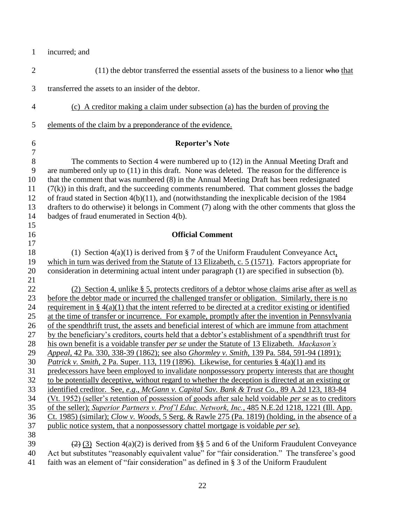| $\mathbf{1}$                               | incurred; and                                                                                                                                                                                                                                                                                                                                                                                                                                                                                                                                                                                                                                    |
|--------------------------------------------|--------------------------------------------------------------------------------------------------------------------------------------------------------------------------------------------------------------------------------------------------------------------------------------------------------------------------------------------------------------------------------------------------------------------------------------------------------------------------------------------------------------------------------------------------------------------------------------------------------------------------------------------------|
| $\overline{2}$                             | $(11)$ the debtor transferred the essential assets of the business to a lienor who that                                                                                                                                                                                                                                                                                                                                                                                                                                                                                                                                                          |
| 3                                          | transferred the assets to an insider of the debtor.                                                                                                                                                                                                                                                                                                                                                                                                                                                                                                                                                                                              |
| $\overline{4}$                             | (c) A creditor making a claim under subsection (a) has the burden of proving the                                                                                                                                                                                                                                                                                                                                                                                                                                                                                                                                                                 |
| 5                                          | elements of the claim by a preponderance of the evidence.                                                                                                                                                                                                                                                                                                                                                                                                                                                                                                                                                                                        |
| 6<br>$\boldsymbol{7}$                      | <b>Reporter's Note</b>                                                                                                                                                                                                                                                                                                                                                                                                                                                                                                                                                                                                                           |
| 8<br>9<br>10<br>11<br>12<br>13<br>14<br>15 | The comments to Section 4 were numbered up to $(12)$ in the Annual Meeting Draft and<br>are numbered only up to $(11)$ in this draft. None was deleted. The reason for the difference is<br>that the comment that was numbered (8) in the Annual Meeting Draft has been redesignated<br>$(7(k))$ in this draft, and the succeeding comments renumbered. That comment glosses the badge<br>of fraud stated in Section $4(b)(11)$ , and (notwithstanding the inexplicable decision of the 1984)<br>drafters to do otherwise) it belongs in Comment (7) along with the other comments that gloss the<br>badges of fraud enumerated in Section 4(b). |
| 16                                         | <b>Official Comment</b>                                                                                                                                                                                                                                                                                                                                                                                                                                                                                                                                                                                                                          |
| 17<br>18<br>19<br>20                       | (1) Section $4(a)(1)$ is derived from § 7 of the Uniform Fraudulent Conveyance Act,<br>which in turn was derived from the Statute of 13 Elizabeth, c. 5 (1571). Factors appropriate for<br>consideration in determining actual intent under paragraph (1) are specified in subsection (b).                                                                                                                                                                                                                                                                                                                                                       |
| 21<br>22<br>23<br>24<br>25                 | (2) Section 4, unlike $\S$ 5, protects creditors of a debtor whose claims arise after as well as<br>before the debtor made or incurred the challenged transfer or obligation. Similarly, there is no<br>requirement in $\S 4(a)(1)$ that the intent referred to be directed at a creditor existing or identified                                                                                                                                                                                                                                                                                                                                 |
| 26<br>27<br>28<br>29                       | at the time of transfer or incurrence. For example, promptly after the invention in Pennsylvania<br>of the spendthrift trust, the assets and beneficial interest of which are immune from attachment<br>by the beneficiary's creditors, courts held that a debtor's establishment of a spendthrift trust for<br>his own benefit is a voidable transfer per se under the Statute of 13 Elizabeth. Mackason's<br>Appeal, 42 Pa. 330, 338-39 (1862); see also Ghormley v. Smith, 139 Pa. 584, 591-94 (1891);                                                                                                                                        |
| 30<br>31                                   | <i>Patrick v. Smith, 2 Pa. Super.</i> 113, 119 (1896). Likewise, for centuries $\S$ 4(a)(1) and its<br>predecessors have been employed to invalidate nonpossessory property interests that are thought                                                                                                                                                                                                                                                                                                                                                                                                                                           |
| 32<br>33                                   | to be potentially deceptive, without regard to whether the deception is directed at an existing or<br>identified creditor. See, e.g., McGann v. Capital Sav. Bank & Trust Co., 89 A.2d 123, 183-84                                                                                                                                                                                                                                                                                                                                                                                                                                               |
| 34<br>35                                   | (Vt. 1952) (seller's retention of possession of goods after sale held voidable <i>per se</i> as to creditors<br>of the seller); Superior Partners v. Prof'l Educ. Network, Inc., 485 N.E.2d 1218, 1221 (Ill. App.                                                                                                                                                                                                                                                                                                                                                                                                                                |
| 36<br>37<br>38                             | Ct. 1985) (similar); Clow v. Woods, 5 Serg. & Rawle 275 (Pa. 1819) (holding, in the absence of a<br>public notice system, that a nonpossessory chattel mortgage is voidable <i>per se</i> ).                                                                                                                                                                                                                                                                                                                                                                                                                                                     |
| 39<br>40                                   | $\left(\frac{2}{2}\right)$ (3) Section 4(a)(2) is derived from §§ 5 and 6 of the Uniform Fraudulent Conveyance<br>Act but substitutes "reasonably equivalent value" for "fair consideration." The transferee's good                                                                                                                                                                                                                                                                                                                                                                                                                              |

faith was an element of "fair consideration" as defined in § 3 of the Uniform Fraudulent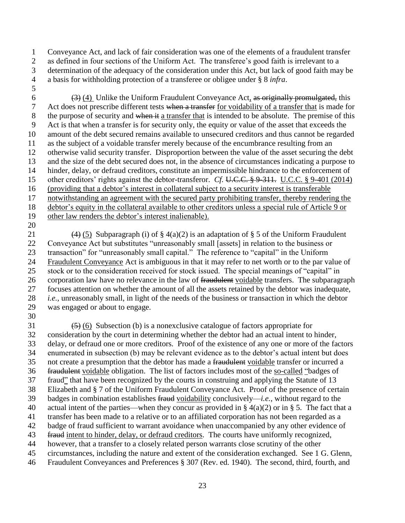Conveyance Act, and lack of fair consideration was one of the elements of a fraudulent transfer as defined in four sections of the Uniform Act. The transferee's good faith is irrelevant to a determination of the adequacy of the consideration under this Act, but lack of good faith may be a basis for withholding protection of a transferee or obligee under § 8 *infra*.

 $(3)$  (4) Unlike the Uniform Fraudulent Conveyance Act, as originally promulgated, this 7 Act does not prescribe different tests when a transfer for voidability of a transfer that is made for 8 the purpose of security and when it a transfer that is intended to be absolute. The premise of this Act is that when a transfer is for security only, the equity or value of the asset that exceeds the amount of the debt secured remains available to unsecured creditors and thus cannot be regarded as the subject of a voidable transfer merely because of the encumbrance resulting from an otherwise valid security transfer. Disproportion between the value of the asset securing the debt and the size of the debt secured does not, in the absence of circumstances indicating a purpose to hinder, delay, or defraud creditors, constitute an impermissible hindrance to the enforcement of other creditors' rights against the debtor-transferor. *Cf.* U.C.C. § 9-311. U.C.C. § 9-401 (2014) (providing that a debtor's interest in collateral subject to a security interest is transferable notwithstanding an agreement with the secured party prohibiting transfer, thereby rendering the debtor's equity in the collateral available to other creditors unless a special rule of Article 9 or other law renders the debtor's interest inalienable).

21 (4) (5) Subparagraph (i) of  $\S 4(a)(2)$  is an adaptation of  $\S 5$  of the Uniform Fraudulent Conveyance Act but substitutes "unreasonably small [assets] in relation to the business or transaction" for "unreasonably small capital." The reference to "capital" in the Uniform Fraudulent Conveyance Act is ambiguous in that it may refer to net worth or to the par value of stock or to the consideration received for stock issued. The special meanings of "capital" in 26 corporation law have no relevance in the law of fraudulent voidable transfers. The subparagraph focuses attention on whether the amount of all the assets retained by the debtor was inadequate, *i.e.,* unreasonably small, in light of the needs of the business or transaction in which the debtor was engaged or about to engage.

  $\overline{(5)}$  (6) Subsection (b) is a nonexclusive catalogue of factors appropriate for consideration by the court in determining whether the debtor had an actual intent to hinder, delay, or defraud one or more creditors. Proof of the existence of any one or more of the factors enumerated in subsection (b) may be relevant evidence as to the debtor's actual intent but does 35 not create a presumption that the debtor has made a fraudulent voidable transfer or incurred a fraudulent voidable obligation. The list of factors includes most of the so-called "badges of fraud" that have been recognized by the courts in construing and applying the Statute of 13 Elizabeth and § 7 of the Uniform Fraudulent Conveyance Act. Proof of the presence of certain badges in combination establishes fraud voidability conclusively—*i.e.*, without regard to the 40 actual intent of the parties—when they concur as provided in  $\S 4(a)(2)$  or in  $\S 5$ . The fact that a transfer has been made to a relative or to an affiliated corporation has not been regarded as a badge of fraud sufficient to warrant avoidance when unaccompanied by any other evidence of 43 fraud intent to hinder, delay, or defraud creditors. The courts have uniformly recognized, however, that a transfer to a closely related person warrants close scrutiny of the other circumstances, including the nature and extent of the consideration exchanged. See 1 G. Glenn, Fraudulent Conveyances and Preferences § 307 (Rev. ed. 1940). The second, third, fourth, and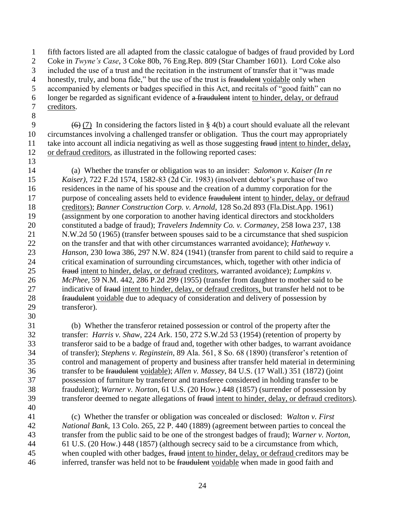fifth factors listed are all adapted from the classic catalogue of badges of fraud provided by Lord

- Coke in *Twyne's Case*, 3 Coke 80b, 76 Eng.Rep. 809 (Star Chamber 1601). Lord Coke also
- included the use of a trust and the recitation in the instrument of transfer that it "was made
- 4 honestly, truly, and bona fide," but the use of the trust is fraudulent voidable only when
- accompanied by elements or badges specified in this Act, and recitals of "good faith" can no
- longer be regarded as significant evidence of a fraudulent intent to hinder, delay, or defraud creditors.
- 

9 (6) (7) In considering the factors listed in  $\S$  4(b) a court should evaluate all the relevant circumstances involving a challenged transfer or obligation. Thus the court may appropriately 11 take into account all indicia negativing as well as those suggesting fraud intent to hinder, delay, or defraud creditors, as illustrated in the following reported cases: 

 (a) Whether the transfer or obligation was to an insider: *Salomon v. Kaiser (In re Kaiser)*, 722 F.2d 1574, 1582-83 (2d Cir. 1983) (insolvent debtor's purchase of two residences in the name of his spouse and the creation of a dummy corporation for the 17 purpose of concealing assets held to evidence fraudulent intent to hinder, delay, or defraud creditors); *Banner Construction Corp. v. Arnold*, 128 So.2d 893 (Fla.Dist.App. 1961) (assignment by one corporation to another having identical directors and stockholders constituted a badge of fraud); *Travelers Indemnity Co. v. Cormaney*, 258 Iowa 237, 138 N.W.2d 50 (1965) (transfer between spouses said to be a circumstance that shed suspicion on the transfer and that with other circumstances warranted avoidance); *Hatheway v. Hanson*, 230 Iowa 386, 297 N.W. 824 (1941) (transfer from parent to child said to require a critical examination of surrounding circumstances, which, together with other indicia of fraud intent to hinder, delay, or defraud creditors, warranted avoidance); *Lumpkins v. McPhee,* 59 N.M. 442, 286 P.2d 299 (1955) (transfer from daughter to mother said to be 27 indicative of fraud intent to hinder, delay, or defraud creditors, but transfer held not to be fraudulent voidable due to adequacy of consideration and delivery of possession by transferor). 

 (b) Whether the transferor retained possession or control of the property after the transfer: *Harris v. Shaw*, 224 Ark. 150, 272 S.W.2d 53 (1954) (retention of property by transferor said to be a badge of fraud and, together with other badges, to warrant avoidance of transfer); *Stephens v. Reginstein*, 89 Ala. 561, 8 So. 68 (1890) (transferor's retention of control and management of property and business after transfer held material in determining transfer to be fraudulent voidable); *Allen v. Massey*, 84 U.S. (17 Wall.) 351 (1872) (joint possession of furniture by transferor and transferee considered in holding transfer to be fraudulent); *Warner v. Norton*, 61 U.S. (20 How.) 448 (1857) (surrender of possession by 39 transferor deemed to negate allegations of fraud intent to hinder, delay, or defraud creditors). 

 (c) Whether the transfer or obligation was concealed or disclosed: *Walton v. First National Bank*, 13 Colo. 265, 22 P. 440 (1889) (agreement between parties to conceal the transfer from the public said to be one of the strongest badges of fraud); *Warner v. Norton*, 61 U.S. (20 How.) 448 (1857) (although secrecy said to be a circumstance from which, 45 when coupled with other badges, fraud intent to hinder, delay, or defraud creditors may be inferred, transfer was held not to be fraudulent voidable when made in good faith and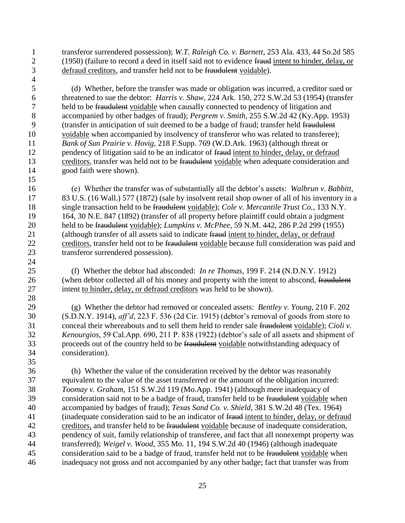transferor surrendered possession); *W.T. Raleigh Co. v. Barnett*, 253 Ala. 433, 44 So.2d 585 (1950) (failure to record a deed in itself said not to evidence fraud intent to hinder, delay, or defraud creditors, and transfer held not to be fraudulent voidable).

 (d) Whether, before the transfer was made or obligation was incurred, a creditor sued or threatened to sue the debtor: *Harris v. Shaw*, 224 Ark. 150, 272 S.W.2d 53 (1954) (transfer held to be fraudulent voidable when causally connected to pendency of litigation and accompanied by other badges of fraud); *Pergrem v. Smith*, 255 S.W.2d 42 (Ky.App. 1953) (transfer in anticipation of suit deemed to be a badge of fraud; transfer held fraudulent voidable when accompanied by insolvency of transferor who was related to transferee); *Bank of Sun Prairie v. Hovig,* 218 F.Supp. 769 (W.D.Ark. 1963) (although threat or 12 pendency of litigation said to be an indicator of fraud intent to hinder, delay, or defraud 13 creditors, transfer was held not to be fraudulent voidable when adequate consideration and good faith were shown).

 (e) Whether the transfer was of substantially all the debtor's assets: *Walbrun v. Babbitt*, 83 U.S. (16 Wall.) 577 (1872) (sale by insolvent retail shop owner of all of his inventory in a single transaction held to be fraudulent voidable); *Cole v. Mercantile Trust Co.,* 133 N.Y. 164, 30 N.E. 847 (1892) (transfer of all property before plaintiff could obtain a judgment held to be fraudulent voidable); *Lumpkins v. McPhee*, 59 N.M. 442, 286 P.2d 299 (1955) 21 (although transfer of all assets said to indicate fraud intent to hinder, delay, or defraud creditors, transfer held not to be fraudulent voidable because full consideration was paid and transferor surrendered possession).

 (f) Whether the debtor had absconded: *In re Thomas*, 199 F. 214 (N.D.N.Y. 1912) 26 (when debtor collected all of his money and property with the intent to abscond, fraudulent intent to hinder, delay, or defraud creditors was held to be shown).

 (g) Whether the debtor had removed or concealed assets: *Bentley v. Young*, 210 F. 202 (S.D.N.Y. 1914), *aff'd*, 223 F. 536 (2d Cir. 1915) (debtor's removal of goods from store to conceal their whereabouts and to sell them held to render sale fraudulent voidable); *Cioli v. Kenourgios,* 59 Cal.App. 690, 211 P. 838 (1922) (debtor's sale of all assets and shipment of proceeds out of the country held to be fraudulent voidable notwithstanding adequacy of consideration).

 (h) Whether the value of the consideration received by the debtor was reasonably equivalent to the value of the asset transferred or the amount of the obligation incurred: *Toomay v. Graham*, 151 S.W.2d 119 (Mo.App. 1941) (although mere inadequacy of 39 consideration said not to be a badge of fraud, transfer held to be fraudulent voidable when accompanied by badges of fraud); *Texas Sand Co. v. Shield*, 381 S.W.2d 48 (Tex. 1964) (inadequate consideration said to be an indicator of fraud intent to hinder, delay, or defraud creditors, and transfer held to be fraudulent voidable because of inadequate consideration, pendency of suit, family relationship of transferee, and fact that all nonexempt property was transferred); *Weigel v. Wood*, 355 Mo. 11, 194 S.W.2d 40 (1946) (although inadequate 45 consideration said to be a badge of fraud, transfer held not to be fraudulent voidable when inadequacy not gross and not accompanied by any other badge; fact that transfer was from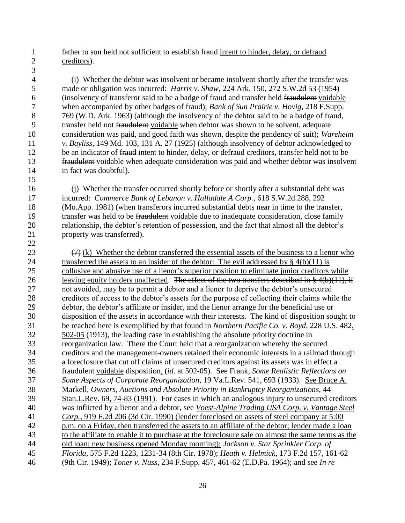1 father to son held not sufficient to establish fraud intent to hinder, delay, or defraud creditors). 

 (i) Whether the debtor was insolvent or became insolvent shortly after the transfer was made or obligation was incurred: *Harris v. Shaw*, 224 Ark. 150, 272 S.W.2d 53 (1954) (insolvency of transferor said to be a badge of fraud and transfer held fraudulent voidable when accompanied by other badges of fraud); *Bank of Sun Prairie v. Hovig*, 218 F.Supp. 769 (W.D. Ark. 1963) (although the insolvency of the debtor said to be a badge of fraud, transfer held not fraudulent voidable when debtor was shown to be solvent, adequate consideration was paid, and good faith was shown, despite the pendency of suit); *Wareheim v. Bayliss*, 149 Md. 103, 131 A. 27 (1925) (although insolvency of debtor acknowledged to 12 be an indicator of fraud intent to hinder, delay, or defraud creditors, transfer held not to be fraudulent voidable when adequate consideration was paid and whether debtor was insolvent in fact was doubtful).

 (j) Whether the transfer occurred shortly before or shortly after a substantial debt was incurred: *Commerce Bank of Lebanon v. Halladale A Corp.,* 618 S.W.2d 288, 292 (Mo.App. 1981) (when transferors incurred substantial debts near in time to the transfer, 19 transfer was held to be fraudulent voidable due to inadequate consideration, close family relationship, the debtor's retention of possession, and the fact that almost all the debtor's property was transferred).

 $(7)$  (k) Whether the debtor transferred the essential assets of the business to a lienor who 24 transferred the assets to an insider of the debtor: The evil addressed by  $\S$  4(b)(11) is collusive and abusive use of a lienor's superior position to eliminate junior creditors while 26 leaving equity holders unaffected. The effect of the two transfers described in § 4(b)(11), if 27 not avoided, may be to permit a debtor and a lienor to deprive the debtor's unsecured creditors of access to the debtor's assets for the purpose of collecting their claims while the debtor, the debtor's affiliate or insider, and the lienor arrange for the beneficial use or 30 disposition of the assets in accordance with their interests. The kind of disposition sought to be reached here is exemplified by that found in *Northern Pacific Co. v. Boyd*, 228 U.S. 482, 502-05 (1913), the leading case in establishing the absolute priority doctrine in reorganization law. There the Court held that a reorganization whereby the secured creditors and the management-owners retained their economic interests in a railroad through a foreclosure that cut off claims of unsecured creditors against its assets was in effect a fraudulent voidable disposition. (*id*. at 502-05). See Frank, *Some Realistic Reflections on Some Aspects of Corporate Reorganization*, 19 Va.L.Rev. 541, 693 (1933). See Bruce A. Markell, *Owners, Auctions and Absolute Priority in Bankruptcy Reorganizations,* [44](http://www.westlaw.com/Find/Default.wl?rs=dfa1.0&vr=2.0&DB=1239&FindType=Y&ReferencePositionType=S&SerialNum=0101103635&ReferencePosition=74)  [Stan.L.Rev. 69, 74-83 \(1991\).](http://www.westlaw.com/Find/Default.wl?rs=dfa1.0&vr=2.0&DB=1239&FindType=Y&ReferencePositionType=S&SerialNum=0101103635&ReferencePosition=74) For cases in which an analogous injury to unsecured creditors was inflicted by a lienor and a debtor, see *Voest-Alpine Trading USA Corp. v. Vantage Steel Corp.,* 919 F.2d 206 (3d Cir. 1990) (lender foreclosed on assets of steel company at 5:00 p.m. on a Friday, then transferred the assets to an affiliate of the debtor; lender made a loan to the affiliate to enable it to purchase at the foreclosure sale on almost the same terms as the old loan; new business opened Monday morning); *Jackson v. Star Sprinkler Corp. of Florida*, 575 F.2d 1223, 1231-34 (8th Cir. 1978); *Heath v. Helmick*, 173 F.2d 157, 161-62 (9th Cir. 1949); *Toner v. Nuss*, 234 F.Supp. 457, 461-62 (E.D.Pa. 1964); and see *In re*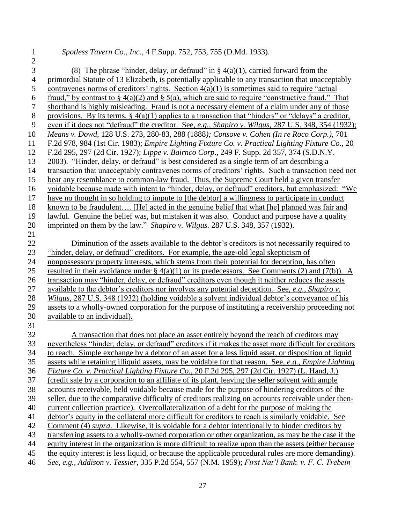#### *Spotless Tavern Co., Inc.*, 4 F.Supp. 752, 753, 755 (D.Md. 1933).

- 3 (8) The phrase "hinder, delay, or defraud" in  $\S$  4(a)(1), carried forward from the primordial Statute of 13 Elizabeth, is potentially applicable to any transaction that unacceptably contravenes norms of creditors' rights. Section 4(a)(1) is sometimes said to require "actual 6 fraud," by contrast to  $\S 4(a)(2)$  and  $\S 5(a)$ , which are said to require "constructive fraud." That shorthand is highly misleading. Fraud is not a necessary element of a claim under any of those provisions. By its terms, § 4(a)(1) applies to a transaction that "hinders" or "delays" a creditor, even if it does not "defraud" the creditor. See, *e.g., Shapiro v. Wilgus*, 287 U.S. 348, 354 (1932); *Means v. Dowd*, 128 U.S. 273, 280-83, 288 (1888*); Consove v. Cohen (In re Roco Corp.),* 701 F.2d 978, 984 (1st Cir. 1983); *Empire Lighting Fixture Co. v. Practical Lighting Fixture Co.,* 20 F.2d 295, 297 (2d Cir. 1927); *Lippe v. Bairnco Corp*., 249 F. Supp. 2d 357, 374 (S.D.N.Y. 2003). "Hinder, delay, or defraud" is best considered as a single term of art describing a transaction that unacceptably contravenes norms of creditors' rights. Such a transaction need not bear any resemblance to common-law fraud. Thus, the Supreme Court held a given transfer voidable because made with intent to "hinder, delay, or defraud" creditors, but emphasized: "We have no thought in so holding to impute to [the debtor] a willingness to participate in conduct known to be fraudulent…. [He] acted in the genuine belief that what [he] planned was fair and lawful. Genuine the belief was, but mistaken it was also. Conduct and purpose have a quality imprinted on them by the law." *Shapiro v. Wilgus.* 287 U.S. 348, 357 (1932). Diminution of the assets available to the debtor's creditors is not necessarily required to "hinder, delay, or defraud" creditors. For example, the age-old legal skepticism of nonpossessory property interests, which stems from their potential for deception, has often 25 resulted in their avoidance under  $\S 4(a)(1)$  or its predecessors. See Comments (2) and (7(b)). A transaction may "hinder, delay, or defraud" creditors even though it neither reduces the assets available to the debtor's creditors nor involves any potential deception. See, *e.g., Shapiro v. Wilgus,* 287 U.S. 348 (1932) (holding voidable a solvent individual debtor's conveyance of his assets to a wholly-owned corporation for the purpose of instituting a receivership proceeding not available to an individual). A transaction that does not place an asset entirely beyond the reach of creditors may nevertheless "hinder, delay, or defraud" creditors if it makes the asset more difficult for creditors to reach. Simple exchange by a debtor of an asset for a less liquid asset, or disposition of liquid assets while retaining illiquid assets, may be voidable for that reason. See, *e.g., Empire Lighting Fixture Co. v. Practical Lighting Fixture Co.*, 20 F.2d 295, 297 (2d Cir. 1927) (L. Hand, J.) (credit sale by a corporation to an affiliate of its plant, leaving the seller solvent with ample accounts receivable, held voidable because made for the purpose of hindering creditors of the seller, due to the comparative difficulty of creditors realizing on accounts receivable under then- current collection practice). Overcollateralization of a debt for the purpose of making the debtor's equity in the collateral more difficult for creditors to reach is similarly voidable. See Comment (4) *supra*. Likewise, it is voidable for a debtor intentionally to hinder creditors by
- transferring assets to a wholly-owned corporation or other organization, as may be the case if the equity interest in the organization is more difficult to realize upon than the assets (either because
- the equity interest is less liquid, or because the applicable procedural rules are more demanding).
- *See, e.g., Addison v. Tessier*, 335 P.2d 554, 557 (N.M. 1959); *First Nat'l Bank. v. F. C. Trebein*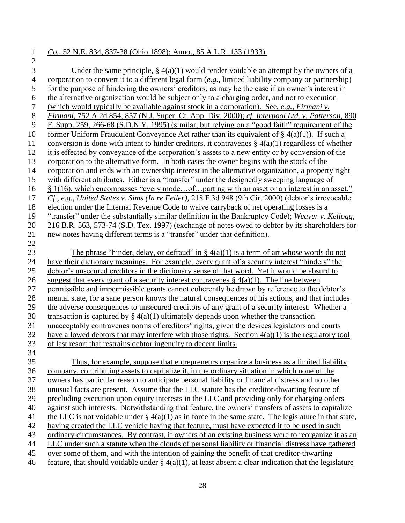#### *Co.*, 52 N.E. 834, 837-38 (Ohio 1898); Anno., 85 A.L.R. 133 (1933).

#### Under the same principle, § 4(a)(1) would render voidable an attempt by the owners of a corporation to convert it to a different legal form (*e.g.,* limited liability company or partnership) for the purpose of hindering the owners' creditors, as may be the case if an owner's interest in the alternative organization would be subject only to a charging order, and not to execution (which would typically be available against stock in a corporation). See, *e.g., Firmani v. Firmani*, 752 A.2d 854, 857 (N.J. Super. Ct. App. Div. 2000); *cf. Interpool Ltd. v. Patterson*, 890 F. Supp. 259, 266-68 (S.D.N.Y. 1995) (similar, but relying on a "good faith" requirement of the 10 former Uniform Fraudulent Conveyance Act rather than its equivalent of  $\S 4(a)(1)$ ). If such a 11 conversion is done with intent to hinder creditors, it contravenes  $\S 4(a)(1)$  regardless of whether it is effected by conveyance of the corporation's assets to a new entity or by conversion of the corporation to the alternative form. In both cases the owner begins with the stock of the corporation and ends with an ownership interest in the alternative organization, a property right with different attributes. Either is a "transfer" under the designedly sweeping language of § 1(16), which encompasses "every mode…of…parting with an asset or an interest in an asset." *Cf., e.g., United States v. Sims (In re Feiler),* 218 F.3d 948 (9th Cir. 2000) (debtor's irrevocable election under the Internal Revenue Code to waive carryback of net operating losses is a "transfer" under the substantially similar definition in the Bankruptcy Code); *Weaver v. Kellogg*, 216 B.R. 563, 573-74 (S.D. Tex. 1997) (exchange of notes owed to debtor by its shareholders for new notes having different terms is a "transfer" under that definition). 23 The phrase "hinder, delay, or defraud" in  $\S$  4(a)(1) is a term of art whose words do not have their dictionary meanings. For example, every grant of a security interest "hinders" the debtor's unsecured creditors in the dictionary sense of that word. Yet it would be absurd to 26 suggest that every grant of a security interest contravenes  $\S 4(a)(1)$ . The line between permissible and impermissible grants cannot coherently be drawn by reference to the debtor's mental state, for a sane person knows the natural consequences of his actions, and that includes the adverse consequences to unsecured creditors of any grant of a security interest. Whether a 30 transaction is captured by  $\S 4(a)(1)$  ultimately depends upon whether the transaction unacceptably contravenes norms of creditors' rights, given the devices legislators and courts 32 have allowed debtors that may interfere with those rights. Section  $4(a)(1)$  is the regulatory tool of last resort that restrains debtor ingenuity to decent limits. Thus, for example, suppose that entrepreneurs organize a business as a limited liability company, contributing assets to capitalize it, in the ordinary situation in which none of the owners has particular reason to anticipate personal liability or financial distress and no other unusual facts are present. Assume that the LLC statute has the creditor-thwarting feature of precluding execution upon equity interests in the LLC and providing only for charging orders against such interests. Notwithstanding that feature, the owners' transfers of assets to capitalize 41 the LLC is not voidable under  $\S 4(a)(1)$  as in force in the same state. The legislature in that state, having created the LLC vehicle having that feature, must have expected it to be used in such ordinary circumstances. By contrast, if owners of an existing business were to reorganize it as an LLC under such a statute when the clouds of personal liability or financial distress have gathered over some of them, and with the intention of gaining the benefit of that creditor-thwarting

46 feature, that should voidable under  $\S 4(a)(1)$ , at least absent a clear indication that the legislature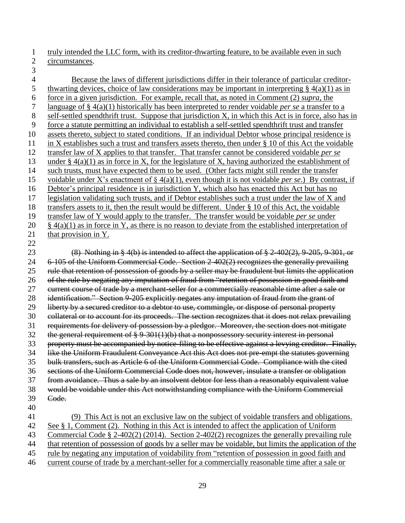truly intended the LLC form, with its creditor-thwarting feature, to be available even in such

#### circumstances.

 Because the laws of different jurisdictions differ in their tolerance of particular creditor-5 thwarting devices, choice of law considerations may be important in interpreting  $\S 4(a)(1)$  as in force in a given jurisdiction. For example, recall that, as noted in Comment (2) *supra*, the language of § 4(a)(1) historically has been interpreted to render voidable *per se* a transfer to a self-settled spendthrift trust. Suppose that jurisdiction X, in which this Act is in force, also has in force a statute permitting an individual to establish a self-settled spendthrift trust and transfer assets thereto, subject to stated conditions. If an individual Debtor whose principal residence is in X establishes such a trust and transfers assets thereto, then under § 10 of this Act the voidable transfer law of X applies to that transfer. That transfer cannot be considered voidable *per se* 13 under § 4(a)(1) as in force in X, for the legislature of X, having authorized the establishment of such trusts, must have expected them to be used. (Other facts might still render the transfer voidable under X's enactment of § 4(a)(1), even though it is not voidable *per se*.) By contrast, if Debtor's principal residence is in jurisdiction Y, which also has enacted this Act but has no legislation validating such trusts, and if Debtor establishes such a trust under the law of X and transfers assets to it, then the result would be different. Under § 10 of this Act, the voidable transfer law of Y would apply to the transfer. The transfer would be voidable *per se* under  $\frac{8}{9}$  4(a)(1) as in force in Y, as there is no reason to deviate from the established interpretation of 21 that provision in Y. 

 (8) Nothing in § 4(b) is intended to affect the application of § 2-402(2), 9-205, 9-301, or  $6-105$  of the Uniform Commercial Code. Section 2-402(2) recognizes the generally prevailing rule that retention of possession of goods by a seller may be fraudulent but limits the application of the rule by negating any imputation of fraud from "retention of possession in good faith and current course of trade by a merchant-seller for a commercially reasonable time after a sale or 28 identification." Section 9-205 explicitly negates any imputation of fraud from the grant of liberty by a secured creditor to a debtor to use, commingle, or dispose of personal property collateral or to account for its proceeds. The section recognizes that it does not relax prevailing requirements for delivery of possession by a pledgor. Moreover, the section does not mitigate the general requirement of § 9-301(1)(b) that a nonpossessory security interest in personal 33 property must be accompanied by notice-filing to be effective against a levying creditor. Finally, like the Uniform Fraudulent Conveyance Act this Act does not pre-empt the statutes governing bulk transfers, such as Article 6 of the Uniform Commercial Code. Compliance with the cited sections of the Uniform Commercial Code does not, however, insulate a transfer or obligation from avoidance. Thus a sale by an insolvent debtor for less than a reasonably equivalent value would be voidable under this Act notwithstanding compliance with the Uniform Commercial Code. (9) This Act is not an exclusive law on the subject of voidable transfers and obligations. See § 1, Comment (2). Nothing in this Act is intended to affect the application of Uniform

 Commercial Code § 2-402(2) (2014). Section 2-402(2) recognizes the generally prevailing rule that retention of possession of goods by a seller may be voidable, but limits the application of the

rule by negating any imputation of voidability from "retention of possession in good faith and

- 
- current course of trade by a merchant-seller for a commercially reasonable time after a sale or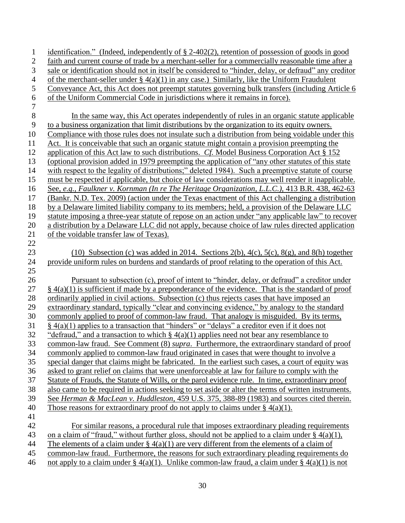identification." (Indeed, independently of § 2-402(2), retention of possession of goods in good faith and current course of trade by a merchant-seller for a commercially reasonable time after a sale or identification should not in itself be considered to "hinder, delay, or defraud" any creditor 4 of the merchant-seller under  $\S 4(a)(1)$  in any case.) Similarly, like the Uniform Fraudulent 5 Conveyance Act, this Act does not preempt statutes governing bulk transfers (including Art 5 Conveyance Act, this Act does not preempt statutes governing bulk transfers (including Article 6 of the Uniform Commercial Code in jurisdictions where it remains in force). of the Uniform Commercial Code in jurisdictions where it remains in force). In the same way, this Act operates independently of rules in an organic statute applicable to a business organization that limit distributions by the organization to its equity owners. Compliance with those rules does not insulate such a distribution from being voidable under this Act. It is conceivable that such an organic statute might contain a provision preempting the application of this Act law to such distributions. *Cf.* Model Business Corporation Act § 152 (optional provision added in 1979 preempting the application of "any other statutes of this state with respect to the legality of distributions;" deleted 1984). Such a preemptive statute of course must be respected if applicable, but choice of law considerations may well render it inapplicable. See, *e.g., Faulkner v. Kornman (In re The Heritage Organization, L.L.C.),* 413 B.R. 438, 462-63 (Bankr. N.D. Tex. 2009) (action under the Texas enactment of this Act challenging a distribution by a Delaware limited liability company to its members; held, a provision of the Delaware LLC statute imposing a three-year statute of repose on an action under "any applicable law" to recover a distribution by a Delaware LLC did not apply, because choice of law rules directed application of the voidable transfer law of Texas). (10) Subsection (c) was added in 2014. Sections 2(b), 4(c), 5(c), 8(g), and 8(h) together provide uniform rules on burdens and standards of proof relating to the operation of this Act. Pursuant to subsection (c), proof of intent to "hinder, delay, or defraud" a creditor under  $27 \frac{\sqrt{2}}{1}$   $\frac{3}{4}$  (a)(1) is sufficient if made by a preponderance of the evidence. That is the standard of proof 28 ordinarily applied in civil actions. Subsection (c) thus rejects cases that have imposed an extraordinary standard, typically "clear and convincing evidence," by analogy to the standard commonly applied to proof of common-law fraud. That analogy is misguided. By its terms,  $31 \frac{\sqrt{2}}{3}$  4(a)(1) applies to a transaction that "hinders" or "delays" a creditor even if it does not 32 "defraud," and a transaction to which  $\S 4(a)(1)$  applies need not bear any resemblance to common-law fraud. See Comment (8) *supra*. Furthermore, the extraordinary standard of proof commonly applied to common-law fraud originated in cases that were thought to involve a special danger that claims might be fabricated. In the earliest such cases, a court of equity was asked to grant relief on claims that were unenforceable at law for failure to comply with the Statute of Frauds, the Statute of Wills, or the parol evidence rule. In time, extraordinary proof also came to be required in actions seeking to set aside or alter the terms of written instruments. See *Herman & MacLean v. Huddleston,* [459 U.S. 375, 388-89 \(1983\)](http://www.westlaw.com/Find/Default.wl?rs=dfa1.0&vr=2.0&DB=780&FindType=Y&SerialNum=1983104350) and sources cited therein. 40 Those reasons for extraordinary proof do not apply to claims under  $\S$  4(a)(1). For similar reasons, a procedural rule that imposes extraordinary pleading requirements 43 on a claim of "fraud," without further gloss, should not be applied to a claim under  $\S$  4(a)(1), 44 The elements of a claim under  $\S 4(a)(1)$  are very different from the elements of a claim of common-law fraud. Furthermore, the reasons for such extraordinary pleading requirements do 46 not apply to a claim under § 4(a)(1). Unlike common-law fraud, a claim under § 4(a)(1) is not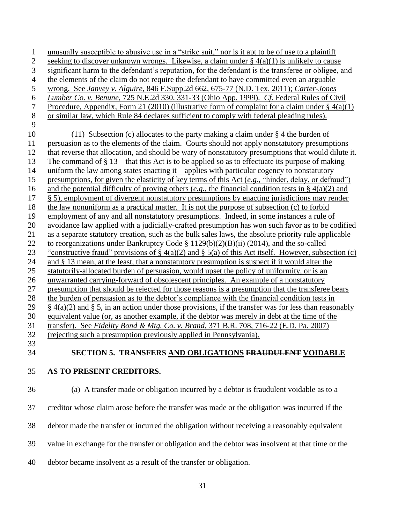unusually susceptible to abusive use in a "strike suit," nor is it apt to be of use to a plaintiff 2 seeking to discover unknown wrongs. Likewise, a claim under  $\S 4(a)(1)$  is unlikely to cause significant harm to the defendant's reputation, for the defendant is the transferee or obligee, and the elements of the claim do not require the defendant to have committed even an arguable wrong. See *Janvey v. Alguire*, 846 F.Supp.2d 662, 675-77 (N.D. Tex. 2011); *Carter-Jones Lumber Co. v. Benune,* 725 N.E.2d 330, 331-33 (Ohio App. 1999). *Cf.* Federal Rules of Civil Procedure, Appendix, Form 21 (2010) (illustrative form of complaint for a claim under § 4(a)(1) or similar law, which Rule 84 declares sufficient to comply with federal pleading rules). (11) Subsection (c) allocates to the party making a claim under § 4 the burden of persuasion as to the elements of the claim. Courts should not apply nonstatutory presumptions that reverse that allocation, and should be wary of nonstatutory presumptions that would dilute it. The command of § 13—that this Act is to be applied so as to effectuate its purpose of making uniform the law among states enacting it—applies with particular cogency to nonstatutory presumptions, for given the elasticity of key terms of this Act (*e.g.,* "hinder, delay, or defraud") and the potential difficulty of proving others (*e.g.,* the financial condition tests in § 4(a)(2) and § 5), employment of divergent nonstatutory presumptions by enacting jurisdictions may render the law nonuniform as a practical matter. It is not the purpose of subsection (c) to forbid employment of any and all nonstatutory presumptions. Indeed, in some instances a rule of avoidance law applied with a judicially-crafted presumption has won such favor as to be codified as a separate statutory creation, such as the bulk sales laws, the absolute priority rule applicable to reorganizations under Bankruptcy Code § 1129(b)(2)(B)(ii) (2014), and the so-called 23 "constructive fraud" provisions of  $\S 4(a)(2)$  and  $\S 5(a)$  of this Act itself. However, subsection (c) and § 13 mean, at the least, that a nonstatutory presumption is suspect if it would alter the statutorily-allocated burden of persuasion, would upset the policy of uniformity, or is an unwarranted carrying-forward of obsolescent principles. An example of a nonstatutory presumption that should be rejected for those reasons is a presumption that the transferee bears the burden of persuasion as to the debtor's compliance with the financial condition tests in  $\frac{8}{3}$  4(a)(2) and  $\frac{8}{3}$  5, in an action under those provisions, if the transfer was for less than reasonably equivalent value (or, as another example, if the debtor was merely in debt at the time of the transfer). See *Fidelity Bond & Mtg. Co. v. Brand*, 371 B.R. 708, 716-22 (E.D. Pa. 2007) (rejecting such a presumption previously applied in Pennsylvania). **SECTION 5. TRANSFERS AND OBLIGATIONS FRAUDULENT VOIDABLE AS TO PRESENT CREDITORS.** 36 (a) A transfer made or obligation incurred by a debtor is fraudulent voidable as to a creditor whose claim arose before the transfer was made or the obligation was incurred if the

- debtor made the transfer or incurred the obligation without receiving a reasonably equivalent
- value in exchange for the transfer or obligation and the debtor was insolvent at that time or the
- debtor became insolvent as a result of the transfer or obligation.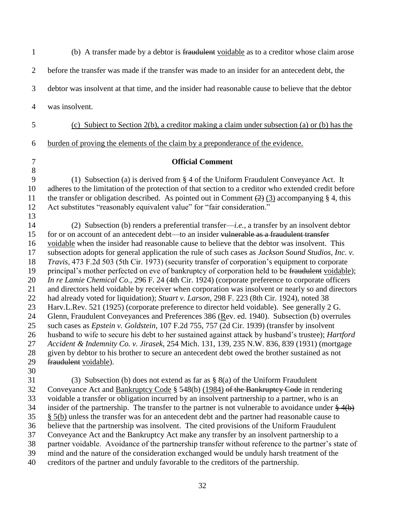| $\mathbf{1}$   | (b) A transfer made by a debtor is fraudulent voidable as to a creditor whose claim arose                         |
|----------------|-------------------------------------------------------------------------------------------------------------------|
| $\overline{2}$ | before the transfer was made if the transfer was made to an insider for an antecedent debt, the                   |
| 3              | debtor was insolvent at that time, and the insider had reasonable cause to believe that the debtor                |
| $\overline{4}$ | was insolvent.                                                                                                    |
| 5              | (c) Subject to Section $2(b)$ , a creditor making a claim under subsection (a) or (b) has the                     |
| 6              | burden of proving the elements of the claim by a preponderance of the evidence.                                   |
| $\tau$         | <b>Official Comment</b>                                                                                           |
| $\,8\,$        |                                                                                                                   |
| 9              | (1) Subsection (a) is derived from $\S 4$ of the Uniform Fraudulent Conveyance Act. It                            |
| 10             | adheres to the limitation of the protection of that section to a creditor who extended credit before              |
| 11             | the transfer or obligation described. As pointed out in Comment $(2)$ (3) accompanying § 4, this                  |
| 12             | Act substitutes "reasonably equivalent value" for "fair consideration."                                           |
| 13             |                                                                                                                   |
| 14             | (2) Subsection (b) renders a preferential transfer— <i>i.e.</i> , a transfer by an insolvent debtor               |
| 15             | for or on account of an antecedent debt—to an insider vulnerable as a fraudulent transfer                         |
| 16             | voidable when the insider had reasonable cause to believe that the debtor was insolvent. This                     |
| 17             | subsection adopts for general application the rule of such cases as <i>Jackson Sound Studios</i> , <i>Inc. v.</i> |
| 18             | Travis, 473 F.2d 503 (5th Cir. 1973) (security transfer of corporation's equipment to corporate                   |
| 19             | principal's mother perfected on eve of bankruptcy of corporation held to be fraudulent voidable);                 |
| 20             | In re Lamie Chemical Co., 296 F. 24 (4th Cir. 1924) (corporate preference to corporate officers                   |
| 21             | and directors held voidable by receiver when corporation was insolvent or nearly so and directors                 |
| 22             | had already voted for liquidation); Stuart v. Larson, 298 F. 223 (8th Cir. 1924), noted 38                        |
| 23             | Harv.L.Rev. 521 (1925) (corporate preference to director held voidable). See generally 2 G.                       |
| 24             | Glenn, Fraudulent Conveyances and Preferences 386 (Rev. ed. 1940). Subsection (b) overrules                       |
| 25             | such cases as Epstein v. Goldstein, 107 F.2d 755, 757 (2d Cir. 1939) (transfer by insolvent                       |
| 26             | husband to wife to secure his debt to her sustained against attack by husband's trustee); <i>Hartford</i>         |
| 27             | Accident & Indemnity Co. v. Jirasek, 254 Mich. 131, 139, 235 N.W. 836, 839 (1931) (mortgage                       |
| 28             | given by debtor to his brother to secure an antecedent debt owed the brother sustained as not                     |
| 29             | fraudulent voidable).                                                                                             |
| 30             |                                                                                                                   |
| 31             | (3) Subsection (b) does not extend as far as $\S$ 8(a) of the Uniform Fraudulent                                  |
| 32             | Conveyance Act and Bankruptcy Code § 548(b) (1984) of the Bankruptcy Code in rendering                            |
| 33             | voidable a transfer or obligation incurred by an insolvent partnership to a partner, who is an                    |
| 34             | insider of the partnership. The transfer to the partner is not vulnerable to avoidance under $\frac{24(b)}{2}$    |
| 35             | $\S$ 5(b) unless the transfer was for an antecedent debt and the partner had reasonable cause to                  |
| 36             | believe that the partnership was insolvent. The cited provisions of the Uniform Fraudulent                        |
| 37             | Conveyance Act and the Bankruptcy Act make any transfer by an insolvent partnership to a                          |
| 38             | partner voidable. Avoidance of the partnership transfer without reference to the partner's state of               |

- mind and the nature of the consideration exchanged would be unduly harsh treatment of the
- creditors of the partner and unduly favorable to the creditors of the partnership.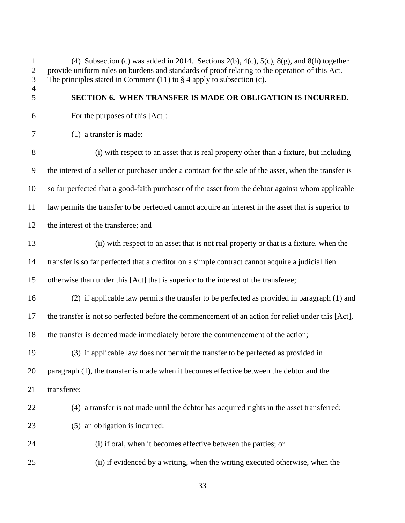| $\mathbf{1}$<br>$\sqrt{2}$<br>$\mathfrak{Z}$<br>$\overline{4}$ | (4) Subsection (c) was added in 2014. Sections $2(b)$ , $4(c)$ , $5(c)$ , $8(g)$ , and $8(h)$ together<br>provide uniform rules on burdens and standards of proof relating to the operation of this Act.<br>The principles stated in Comment $(11)$ to $\S$ 4 apply to subsection (c). |
|----------------------------------------------------------------|----------------------------------------------------------------------------------------------------------------------------------------------------------------------------------------------------------------------------------------------------------------------------------------|
| 5                                                              | SECTION 6. WHEN TRANSFER IS MADE OR OBLIGATION IS INCURRED.                                                                                                                                                                                                                            |
| 6                                                              | For the purposes of this [Act]:                                                                                                                                                                                                                                                        |
| 7                                                              | (1) a transfer is made:                                                                                                                                                                                                                                                                |
| 8                                                              | (i) with respect to an asset that is real property other than a fixture, but including                                                                                                                                                                                                 |
| 9                                                              | the interest of a seller or purchaser under a contract for the sale of the asset, when the transfer is                                                                                                                                                                                 |
| 10                                                             | so far perfected that a good-faith purchaser of the asset from the debtor against whom applicable                                                                                                                                                                                      |
| 11                                                             | law permits the transfer to be perfected cannot acquire an interest in the asset that is superior to                                                                                                                                                                                   |
| 12                                                             | the interest of the transferee; and                                                                                                                                                                                                                                                    |
| 13                                                             | (ii) with respect to an asset that is not real property or that is a fixture, when the                                                                                                                                                                                                 |
| 14                                                             | transfer is so far perfected that a creditor on a simple contract cannot acquire a judicial lien                                                                                                                                                                                       |
| 15                                                             | otherwise than under this [Act] that is superior to the interest of the transferee;                                                                                                                                                                                                    |
| 16                                                             | (2) if applicable law permits the transfer to be perfected as provided in paragraph (1) and                                                                                                                                                                                            |
| 17                                                             | the transfer is not so perfected before the commencement of an action for relief under this [Act],                                                                                                                                                                                     |
| 18                                                             | the transfer is deemed made immediately before the commencement of the action;                                                                                                                                                                                                         |
| 19                                                             | (3) if applicable law does not permit the transfer to be perfected as provided in                                                                                                                                                                                                      |
| 20                                                             | paragraph (1), the transfer is made when it becomes effective between the debtor and the                                                                                                                                                                                               |
| 21                                                             | transferee;                                                                                                                                                                                                                                                                            |
| 22                                                             | (4) a transfer is not made until the debtor has acquired rights in the asset transferred;                                                                                                                                                                                              |
| 23                                                             | (5) an obligation is incurred:                                                                                                                                                                                                                                                         |
| 24                                                             | (i) if oral, when it becomes effective between the parties; or                                                                                                                                                                                                                         |
| 25                                                             | (ii) if evidenced by a writing, when the writing executed otherwise, when the                                                                                                                                                                                                          |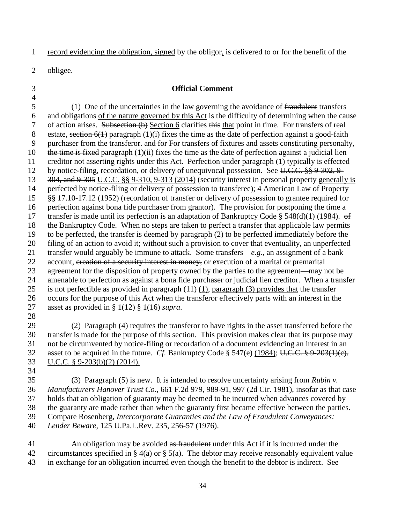- record evidencing the obligation, signed by the obligor, is delivered to or for the benefit of the
- obligee.
- 

#### **Official Comment**

 (1) One of the uncertainties in the law governing the avoidance of fraudulent transfers and obligations of the nature governed by this Act is the difficulty of determining when the cause of action arises. Subsection (b) Section 6 clarifies this that point in time. For transfers of real 8 estate, section 6(1) paragraph (1)(i) fixes the time as the date of perfection against a good-faith 9 purchaser from the transferor. and for For transfers of fixtures and assets constituting personalty, the time is fixed paragraph (1)(ii) fixes the time as the date of perfection against a judicial lien creditor not asserting rights under this Act. Perfection under paragraph (1) typically is effected by notice-filing, recordation, or delivery of unequivocal possession. See U.C.C. §§ 9-302, 9- 304, and 9-305 U.C.C. §§ 9-310, 9-313 (2014) (security interest in personal property generally is perfected by notice-filing or delivery of possession to transferee); 4 American Law of Property §§ 17.10-17.12 (1952) (recordation of transfer or delivery of possession to grantee required for perfection against bona fide purchaser from grantor). The provision for postponing the time a 17 transfer is made until its perfection is an adaptation of Bankruptcy Code § 548(d)(1) (1984). of 18 the Bankruptcy Code. When no steps are taken to perfect a transfer that applicable law permits to be perfected, the transfer is deemed by paragraph (2) to be perfected immediately before the filing of an action to avoid it; without such a provision to cover that eventuality, an unperfected transfer would arguably be immune to attack. Some transfers—*e.g.,* an assignment of a bank 22 account, creation of a security interest in money, or execution of a marital or premarital agreement for the disposition of property owned by the parties to the agreement—may not be amenable to perfection as against a bona fide purchaser or judicial lien creditor. When a transfer 25 is not perfectible as provided in paragraph  $(11)$  (1), paragraph (3) provides that the transfer occurs for the purpose of this Act when the transferor effectively parts with an interest in the asset as provided in § 1(12) § 1(16) *supra*. 

 (2) Paragraph (4) requires the transferor to have rights in the asset transferred before the transfer is made for the purpose of this section. This provision makes clear that its purpose may not be circumvented by notice-filing or recordation of a document evidencing an interest in an asset to be acquired in the future. *Cf.* Bankruptcy Code § 547(e) (1984); U.C.C. § 9-203(1)(c). U.C.C. § 9-203(b)(2) (2014).

 (3) Paragraph (5) is new. It is intended to resolve uncertainty arising from *Rubin v. Manufacturers Hanover Trust Co.,* 661 F.2d 979, 989-91, 997 (2d Cir. 1981), insofar as that case holds that an obligation of guaranty may be deemed to be incurred when advances covered by the guaranty are made rather than when the guaranty first became effective between the parties. Compare Rosenberg, *Intercorporate Guaranties and the Law of Fraudulent Conveyances: Lender Beware*, 125 U.Pa.L.Rev. 235, 256-57 (1976).

41 An obligation may be avoided as fraudulent under this Act if it is incurred under the circumstances specified in § 4(a) or § 5(a). The debtor may receive reasonably equivalent value in exchange for an obligation incurred even though the benefit to the debtor is indirect. See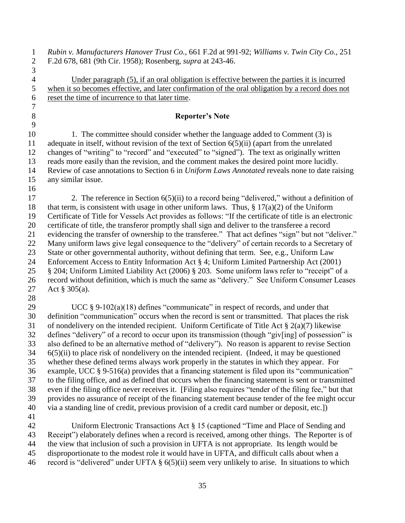*Rubin v. Manufacturers Hanover Trust Co.,* 661 F.2d at 991-92; *Williams v. Twin City Co.,* 251 F.2d 678, 681 (9th Cir. 1958); Rosenberg, *supra* at 243-46. Under paragraph (5), if an oral obligation is effective between the parties it is incurred when it so becomes effective, and later confirmation of the oral obligation by a record does not reset the time of incurrence to that later time. **Reporter's Note** 10 1. The committee should consider whether the language added to Comment (3) is adequate in itself, without revision of the text of Section 6(5)(ii) (apart from the unrelated changes of "writing" to "record" and "executed" to "signed"). The text as originally written reads more easily than the revision, and the comment makes the desired point more lucidly. Review of case annotations to Section 6 in *Uniform Laws Annotated* reveals none to date raising any similar issue. 2. The reference in Section 6(5)(ii) to a record being "delivered," without a definition of 18 that term, is consistent with usage in other uniform laws. Thus,  $\S 17(a)(2)$  of the Uniform Certificate of Title for Vessels Act provides as follows: "If the certificate of title is an electronic certificate of title, the transferor promptly shall sign and deliver to the transferee a record evidencing the transfer of ownership to the transferee." That act defines "sign" but not "deliver." Many uniform laws give legal consequence to the "delivery" of certain records to a Secretary of 23 State or other governmental authority, without defining that term. See, e.g., Uniform Law Enforcement Access to Entity Information Act § 4; Uniform Limited Partnership Act (2001) § 204; Uniform Limited Liability Act (2006) § 203. Some uniform laws refer to "receipt" of a record without definition, which is much the same as "delivery." See Uniform Consumer Leases Act § 305(a). UCC § 9-102(a)(18) defines "communicate" in respect of records, and under that definition "communication" occurs when the record is sent or transmitted. That places the risk 31 of nondelivery on the intended recipient. Uniform Certificate of Title Act  $\S 2(a)(7)$  likewise defines "delivery" of a record to occur upon its transmission (though "giv[ing] of possession" is also defined to be an alternative method of "delivery"). No reason is apparent to revise Section 6(5)(ii) to place risk of nondelivery on the intended recipient. (Indeed, it may be questioned whether these defined terms always work properly in the statutes in which they appear. For example, UCC § 9-516(a) provides that a financing statement is filed upon its "communication" to the filing office, and as defined that occurs when the financing statement is sent or transmitted even if the filing office never receives it. [Filing also requires "tender of the filing fee," but that provides no assurance of receipt of the financing statement because tender of the fee might occur via a standing line of credit, previous provision of a credit card number or deposit, etc.]) Uniform Electronic Transactions Act § 15 (captioned "Time and Place of Sending and Receipt") elaborately defines when a record is received, among other things. The Reporter is of the view that inclusion of such a provision in UFTA is not appropriate. Its length would be disproportionate to the modest role it would have in UFTA, and difficult calls about when a record is "delivered" under UFTA § 6(5)(ii) seem very unlikely to arise. In situations to which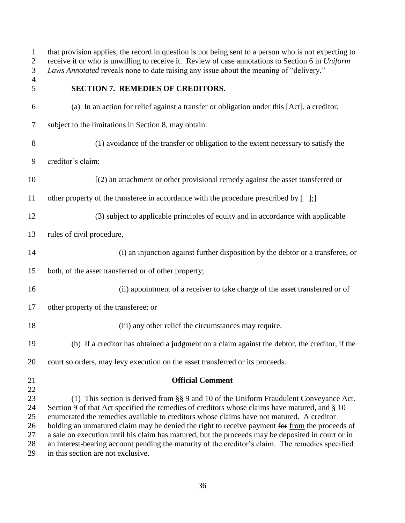that provision applies, the record in question is not being sent to a person who is not expecting to receive it or who is unwilling to receive it. Review of case annotations to Section 6 in *Uniform Laws Annotated* reveals none to date raising any issue about the meaning of "delivery." **SECTION 7. REMEDIES OF CREDITORS.** (a) In an action for relief against a transfer or obligation under this [Act], a creditor, subject to the limitations in Section 8, may obtain: (1) avoidance of the transfer or obligation to the extent necessary to satisfy the creditor's claim; [(2) an attachment or other provisional remedy against the asset transferred or 11 other property of the transferee in accordance with the procedure prescribed by  $[ \cdot ]$ ; (3) subject to applicable principles of equity and in accordance with applicable rules of civil procedure, (i) an injunction against further disposition by the debtor or a transferee, or both, of the asset transferred or of other property; (ii) appointment of a receiver to take charge of the asset transferred or of other property of the transferee; or (iii) any other relief the circumstances may require. (b) If a creditor has obtained a judgment on a claim against the debtor, the creditor, if the court so orders, may levy execution on the asset transferred or its proceeds. **Official Comment** (1) This section is derived from §§ 9 and 10 of the Uniform Fraudulent Conveyance Act. Section 9 of that Act specified the remedies of creditors whose claims have matured, and § 10 enumerated the remedies available to creditors whose claims have not matured. A creditor 26 holding an unmatured claim may be denied the right to receive payment for from the proceeds of a sale on execution until his claim has matured, but the proceeds may be deposited in court or in an interest-bearing account pending the maturity of the creditor's claim. The remedies specified

in this section are not exclusive.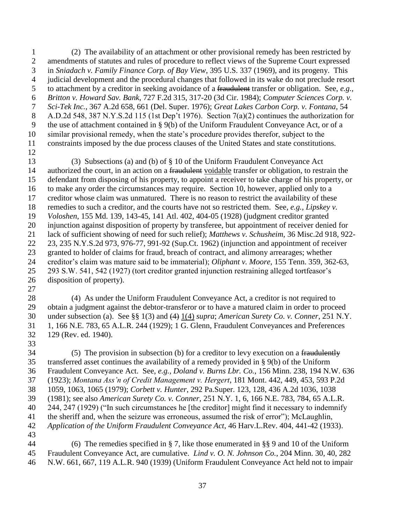(2) The availability of an attachment or other provisional remedy has been restricted by amendments of statutes and rules of procedure to reflect views of the Supreme Court expressed in *Sniadach v. Family Finance Corp. of Bay View*, 395 U.S. 337 (1969), and its progeny. This judicial development and the procedural changes that followed in its wake do not preclude resort to attachment by a creditor in seeking avoidance of a fraudulent transfer or obligation. See, *e.g., Britton v. Howard Sav. Bank*, 727 F.2d 315, 317-20 (3d Cir. 1984); *Computer Sciences Corp. v. Sci-Tek Inc.*, 367 A.2d 658, 661 (Del. Super. 1976); *Great Lakes Carbon Corp. v. Fontana*, 54 A.D.2d 548, 387 N.Y.S.2d 115 (1st Dep't 1976). Section 7(a)(2) continues the authorization for the use of attachment contained in § 9(b) of the Uniform Fraudulent Conveyance Act, or of a similar provisional remedy, when the state's procedure provides therefor, subject to the constraints imposed by the due process clauses of the United States and state constitutions.

 (3) Subsections (a) and (b) of § 10 of the Uniform Fraudulent Conveyance Act authorized the court, in an action on a fraudulent voidable transfer or obligation, to restrain the defendant from disposing of his property, to appoint a receiver to take charge of his property, or to make any order the circumstances may require. Section 10, however, applied only to a creditor whose claim was unmatured. There is no reason to restrict the availability of these remedies to such a creditor, and the courts have not so restricted them. See*, e.g., Lipskey v. Voloshen*, 155 Md. 139, 143-45, 141 Atl. 402, 404-05 (1928) (judgment creditor granted injunction against disposition of property by transferee, but appointment of receiver denied for lack of sufficient showing of need for such relief); *Matthews v. Schusheim*, 36 Misc.2d 918, 922- 23, 235 N.Y.S.2d 973, 976-77, 991-92 (Sup.Ct. 1962) (injunction and appointment of receiver granted to holder of claims for fraud, breach of contract, and alimony arrearages; whether creditor's claim was mature said to be immaterial); *Oliphant v. Moore*, 155 Tenn. 359, 362-63, 293 S.W. 541, 542 (1927) (tort creditor granted injunction restraining alleged tortfeasor's disposition of property).

 (4) As under the Uniform Fraudulent Conveyance Act, a creditor is not required to obtain a judgment against the debtor-transferor or to have a matured claim in order to proceed under subsection (a). See §§ 1(3) and (4) 1(4) *supra*; *American Surety Co. v. Conner*, 251 N.Y. 1, 166 N.E. 783, 65 A.L.R. 244 (1929); 1 G. Glenn, Fraudulent Conveyances and Preferences 129 (Rev. ed. 1940).

 (5) The provision in subsection (b) for a creditor to levy execution on a fraudulently transferred asset continues the availability of a remedy provided in § 9(b) of the Uniform Fraudulent Conveyance Act. See, *e.g., Doland v. Burns Lbr. Co.*, 156 Minn. 238, 194 N.W. 636 (1923); *Montana Ass'n of Credit Management v. Hergert*, 181 Mont. 442, 449, 453, 593 P.2d 1059, 1063, 1065 (1979); *Corbett v. Hunter*, 292 Pa.Super. 123, 128, 436 A.2d 1036, 1038 (1981); see also *American Surety Co. v. Conner*, 251 N.Y. 1, 6, 166 N.E. 783, 784, 65 A.L.R. 244, 247 (1929) ("In such circumstances he [the creditor] might find it necessary to indemnify the sheriff and, when the seizure was erroneous, assumed the risk of error"); McLaughlin, *Application of the Uniform Fraudulent Conveyance Act*, 46 Harv.L.Rev. 404, 441-42 (1933).

 (6) The remedies specified in § 7, like those enumerated in §§ 9 and 10 of the Uniform Fraudulent Conveyance Act, are cumulative. *Lind v. O. N. Johnson Co.*, 204 Minn. 30, 40, 282 N.W. 661, 667, 119 A.L.R. 940 (1939) (Uniform Fraudulent Conveyance Act held not to impair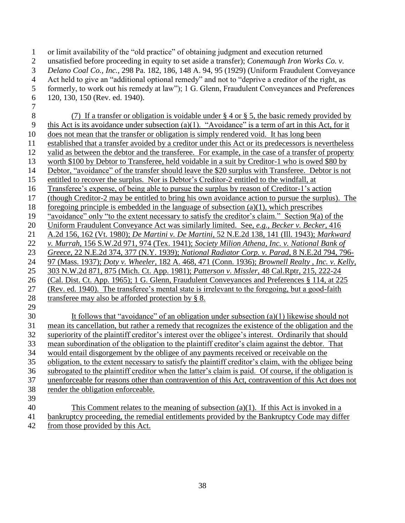or limit availability of the "old practice" of obtaining judgment and execution returned

unsatisfied before proceeding in equity to set aside a transfer); *Conemaugh Iron Works Co. v.* 

*Delano Coal Co., Inc.*, 298 Pa. 182, 186, 148 A. 94, 95 (1929) (Uniform Fraudulent Conveyance

4 Act held to give an "additional optional remedy" and not to "deprive a creditor of the right, as<br>5 formerly, to work out his remedy at law"); 1 G. Glenn, Fraudulent Conveyances and Preference

 formerly, to work out his remedy at law"); 1 G. Glenn, Fraudulent Conveyances and Preferences 120, 130, 150 (Rev. ed. 1940).

 (7) If a transfer or obligation is voidable under § 4 or § 5, the basic remedy provided by 9 this Act is its avoidance under subsection (a)(1). "Avoidance" is a term of art in this Act, for it does not mean that the transfer or obligation is simply rendered void. It has long been established that a transfer avoided by a creditor under this Act or its predecessors is nevertheless valid as between the debtor and the transferee. For example, in the case of a transfer of property worth \$100 by Debtor to Transferee, held voidable in a suit by Creditor-1 who is owed \$80 by Debtor, "avoidance" of the transfer should leave the \$20 surplus with Transferee. Debtor is not entitled to recover the surplus. Nor is Debtor's Creditor-2 entitled to the windfall, at Transferee's expense, of being able to pursue the surplus by reason of Creditor-1's action (though Creditor-2 may be entitled to bring his own avoidance action to pursue the surplus). The 18 foregoing principle is embedded in the language of subsection  $(a)(1)$ , which prescribes "avoidance" only "to the extent necessary to satisfy the creditor's claim." Section 9(a) of the Uniform Fraudulent Conveyance Act was similarly limited. See, *e.g., Becker v. Becker*, 416 A.2d 156, 162 (Vt. 1980); *De Martini v. De Martini,* 52 N.E.2d 138, 141 (Ill. 1943); *Markward v. Murrah*, 156 S.W.2d 971, 974 (Tex. 1941); *Society Milion Athena, Inc. v. National Bank of Greece,* 22 N.E.2d 374, 377 (N.Y. 1939); *National Radiator Corp. v. Parad*, 8 N.E.2d 794, 796- 97 (Mass. 1937); *Doty v. Wheeler*, 182 A. 468, 471 (Conn. 1936); *Brownell Realty , Inc. v. Kelly*, 303 N.W.2d 871, 875 (Mich. Ct. App. 1981); *Patterson v. Missler*, 48 Cal.Rptr, 215, 222-24 (Cal. Dist. Ct. App. 1965); 1 G. Glenn, Fraudulent Conveyances and Preferences § 114, at 225 (Rev. ed. 1940). The transferee's mental state is irrelevant to the foregoing, but a good-faith transferee may also be afforded protection by § 8. It follows that "avoidance" of an obligation under subsection (a)(1) likewise should not mean its cancellation, but rather a remedy that recognizes the existence of the obligation and the superiority of the plaintiff creditor's interest over the obligee's interest. Ordinarily that should mean subordination of the obligation to the plaintiff creditor's claim against the debtor. That would entail disgorgement by the obligee of any payments received or receivable on the obligation, to the extent necessary to satisfy the plaintiff creditor's claim, with the obligee being subrogated to the plaintiff creditor when the latter's claim is paid. Of course, if the obligation is unenforceable for reasons other than contravention of this Act, contravention of this Act does not render the obligation enforceable. This Comment relates to the meaning of subsection (a)(1). If this Act is invoked in a

- bankruptcy proceeding, the remedial entitlements provided by the Bankruptcy Code may differ
- from those provided by this Act.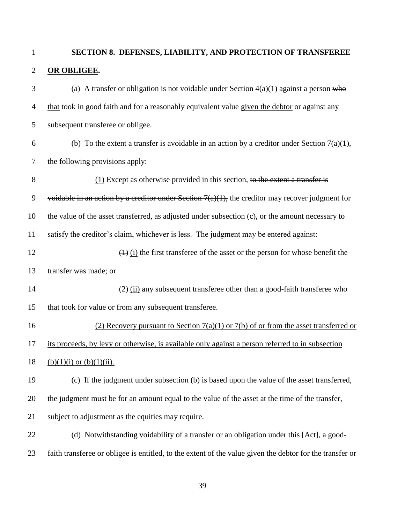# **SECTION 8. DEFENSES, LIABILITY, AND PROTECTION OF TRANSFEREE OR OBLIGEE.** 3 (a) A transfer or obligation is not voidable under Section  $4(a)(1)$  against a person who 4 that took in good faith and for a reasonably equivalent value given the debtor or against any subsequent transferee or obligee. 6 (b) To the extent a transfer is avoidable in an action by a creditor under Section 7(a)(1), the following provisions apply: 8 (1) Except as otherwise provided in this section, to the extent a transfer is 9 voidable in an action by a creditor under Section  $7(a)(1)$ , the creditor may recover judgment for the value of the asset transferred, as adjusted under subsection (c), or the amount necessary to satisfy the creditor's claim, whichever is less. The judgment may be entered against: 12  $\left(1\right)$  (i) the first transferee of the asset or the person for whose benefit the transfer was made; or 14  $\left( \frac{2}{2} \right)$  (ii) any subsequent transferee other than a good-faith transferee who that took for value or from any subsequent transferee. (2) Recovery pursuant to Section 7(a)(1) or 7(b) of or from the asset transferred or its proceeds, by levy or otherwise, is available only against a person referred to in subsection 18 (b)(1)(i) or (b)(1)(ii). (c) If the judgment under subsection (b) is based upon the value of the asset transferred, the judgment must be for an amount equal to the value of the asset at the time of the transfer, subject to adjustment as the equities may require. 22 (d) Notwithstanding voidability of a transfer or an obligation under this [Act], a good-faith transferee or obligee is entitled, to the extent of the value given the debtor for the transfer or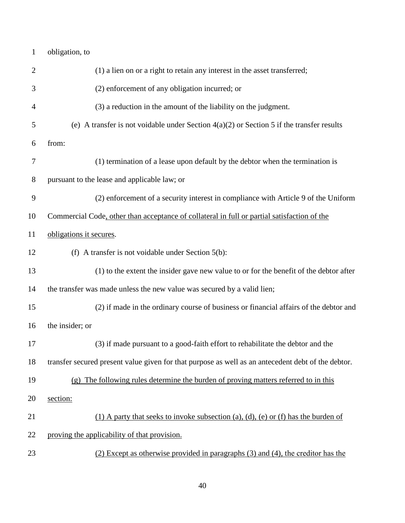| $\mathbf{1}$   | obligation, to                                                                                     |
|----------------|----------------------------------------------------------------------------------------------------|
| $\overline{2}$ | (1) a lien on or a right to retain any interest in the asset transferred;                          |
| 3              | (2) enforcement of any obligation incurred; or                                                     |
| 4              | (3) a reduction in the amount of the liability on the judgment.                                    |
| 5              | (e) A transfer is not voidable under Section $4(a)(2)$ or Section 5 if the transfer results        |
| 6              | from:                                                                                              |
| 7              | (1) termination of a lease upon default by the debtor when the termination is                      |
| 8              | pursuant to the lease and applicable law; or                                                       |
| 9              | (2) enforcement of a security interest in compliance with Article 9 of the Uniform                 |
| 10             | Commercial Code, other than acceptance of collateral in full or partial satisfaction of the        |
| 11             | obligations it secures.                                                                            |
| 12             | (f) A transfer is not voidable under Section $5(b)$ :                                              |
| 13             | (1) to the extent the insider gave new value to or for the benefit of the debtor after             |
| 14             | the transfer was made unless the new value was secured by a valid lien;                            |
| 15             | (2) if made in the ordinary course of business or financial affairs of the debtor and              |
| 16             | the insider; or                                                                                    |
| 17             | (3) if made pursuant to a good-faith effort to rehabilitate the debtor and the                     |
| 18             | transfer secured present value given for that purpose as well as an antecedent debt of the debtor. |
| 19             | The following rules determine the burden of proving matters referred to in this<br>(g)             |
| 20             | section:                                                                                           |
| 21             | $(1)$ A party that seeks to invoke subsection (a), (d), (e) or (f) has the burden of               |
| 22             | proving the applicability of that provision.                                                       |
| 23             | (2) Except as otherwise provided in paragraphs (3) and (4), the creditor has the                   |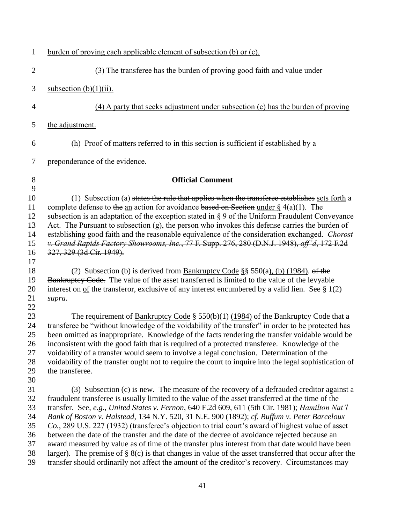| $\mathbf{1}$                                       | burden of proving each applicable element of subsection (b) or (c).                                                                                                                                                                                                                                                                                                                                                                                                                                                                                                                                                                                                                                                                                                                                                                                                                                                   |
|----------------------------------------------------|-----------------------------------------------------------------------------------------------------------------------------------------------------------------------------------------------------------------------------------------------------------------------------------------------------------------------------------------------------------------------------------------------------------------------------------------------------------------------------------------------------------------------------------------------------------------------------------------------------------------------------------------------------------------------------------------------------------------------------------------------------------------------------------------------------------------------------------------------------------------------------------------------------------------------|
| $\overline{2}$                                     | (3) The transferee has the burden of proving good faith and value under                                                                                                                                                                                                                                                                                                                                                                                                                                                                                                                                                                                                                                                                                                                                                                                                                                               |
| 3                                                  | subsection $(b)(1)(ii)$ .                                                                                                                                                                                                                                                                                                                                                                                                                                                                                                                                                                                                                                                                                                                                                                                                                                                                                             |
| $\overline{4}$                                     | $(4)$ A party that seeks adjustment under subsection $(c)$ has the burden of proving                                                                                                                                                                                                                                                                                                                                                                                                                                                                                                                                                                                                                                                                                                                                                                                                                                  |
| 5                                                  | the adjustment.                                                                                                                                                                                                                                                                                                                                                                                                                                                                                                                                                                                                                                                                                                                                                                                                                                                                                                       |
| 6                                                  | (h) Proof of matters referred to in this section is sufficient if established by a                                                                                                                                                                                                                                                                                                                                                                                                                                                                                                                                                                                                                                                                                                                                                                                                                                    |
| $\tau$                                             | preponderance of the evidence.                                                                                                                                                                                                                                                                                                                                                                                                                                                                                                                                                                                                                                                                                                                                                                                                                                                                                        |
| 8<br>9                                             | <b>Official Comment</b>                                                                                                                                                                                                                                                                                                                                                                                                                                                                                                                                                                                                                                                                                                                                                                                                                                                                                               |
| 10<br>11<br>12<br>13<br>14<br>15<br>16             | (1) Subsection (a) states the rule that applies when the transferee establishes sets forth a<br>complete defense to the an action for avoidance based on Section under $\S$ 4(a)(1). The<br>subsection is an adaptation of the exception stated in § 9 of the Uniform Fraudulent Conveyance<br>Act. The Pursuant to subsection (g), the person who invokes this defense carries the burden of<br>establishing good faith and the reasonable equivalence of the consideration exchanged. Chorost<br>v. Grand Rapids Factory Showrooms, Inc., 77 F. Supp. 276, 280 (D.N.J. 1948), aff'd, 172 F.2d<br>327, 329 (3d Cir. 1949).                                                                                                                                                                                                                                                                                           |
| 17<br>18<br>19<br>20<br>21                         | (2) Subsection (b) is derived from Bankruptcy Code §§ 550(a), (b) (1984). of the<br>Bankruptcy Code. The value of the asset transferred is limited to the value of the levyable<br>interest $\Theta$ of the transferor, exclusive of any interest encumbered by a valid lien. See § 1(2)<br>supra.                                                                                                                                                                                                                                                                                                                                                                                                                                                                                                                                                                                                                    |
| 22<br>23<br>24<br>25<br>26<br>27<br>28<br>29<br>30 | The requirement of Bankruptcy Code $\S$ 550(b)(1) (1984) of the Bankruptcy Code that a<br>transferee be "without knowledge of the voidability of the transfer" in order to be protected has<br>been omitted as inappropriate. Knowledge of the facts rendering the transfer voidable would be<br>inconsistent with the good faith that is required of a protected transferee. Knowledge of the<br>voidability of a transfer would seem to involve a legal conclusion. Determination of the<br>voidability of the transfer ought not to require the court to inquire into the legal sophistication of<br>the transferee.                                                                                                                                                                                                                                                                                               |
| 31<br>32<br>33<br>34<br>35<br>36<br>37<br>38<br>39 | (3) Subsection (c) is new. The measure of the recovery of a defrauded creditor against a<br>fraudulent transferee is usually limited to the value of the asset transferred at the time of the<br>transfer. See, e.g., United States v. Fernon, 640 F.2d 609, 611 (5th Cir. 1981); Hamilton Nat'l<br>Bank of Boston v. Halstead, 134 N.Y. 520, 31 N.E. 900 (1892); cf. Buffum v. Peter Barceloux<br>Co., 289 U.S. 227 (1932) (transferee's objection to trial court's award of highest value of asset<br>between the date of the transfer and the date of the decree of avoidance rejected because an<br>award measured by value as of time of the transfer plus interest from that date would have been<br>larger). The premise of $\S$ 8(c) is that changes in value of the asset transferred that occur after the<br>transfer should ordinarily not affect the amount of the creditor's recovery. Circumstances may |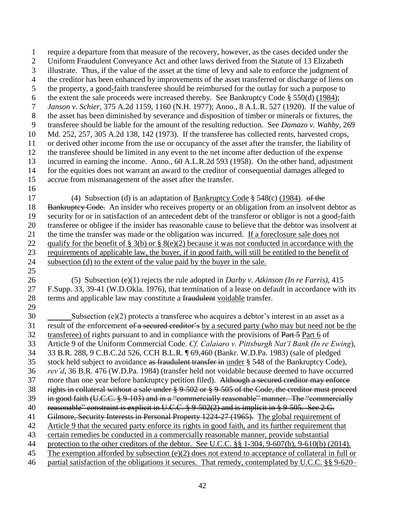require a departure from that measure of the recovery, however, as the cases decided under the Uniform Fraudulent Conveyance Act and other laws derived from the Statute of 13 Elizabeth illustrate. Thus, if the value of the asset at the time of levy and sale to enforce the judgment of the creditor has been enhanced by improvements of the asset transferred or discharge of liens on the property, a good-faith transferee should be reimbursed for the outlay for such a purpose to 6 the extent the sale proceeds were increased thereby. See Bankruptcy Code § 550(d) (1984); *Janson v. Schier,* 375 A.2d 1159, 1160 (N.H. 1977); Anno., 8 A.L.R. 527 (1920). If the value of the asset has been diminished by severance and disposition of timber or minerals or fixtures, the transferee should be liable for the amount of the resulting reduction. See *Damazo v. Wahby*, 269 Md. 252, 257, 305 A.2d 138, 142 (1973). If the transferee has collected rents, harvested crops, or derived other income from the use or occupancy of the asset after the transfer, the liability of the transferee should be limited in any event to the net income after deduction of the expense incurred in earning the income. Anno., 60 A.L.R.2d 593 (1958). On the other hand, adjustment for the equities does not warrant an award to the creditor of consequential damages alleged to accrue from mismanagement of the asset after the transfer. 17 (4) Subsection (d) is an adaptation of Bankruptcy Code § 548(c) (1984). <del>of the</del> 18 Bankruptcy Code. An insider who receives property or an obligation from an insolvent debtor as security for or in satisfaction of an antecedent debt of the transferor or obligor is not a good-faith transferee or obligee if the insider has reasonable cause to believe that the debtor was insolvent at the time the transfer was made or the obligation was incurred. If a foreclosure sale does not 22 qualify for the benefit of  $\S 3(b)$  or  $\S 8(e)(2)$  because it was not conducted in accordance with the requirements of applicable law, the buyer, if in good faith, will still be entitled to the benefit of subsection (d) to the extent of the value paid by the buyer in the sale. (5) Subsection (e)(1) rejects the rule adopted in *Darby v. Atkinson (In re Farris),* 415 F.Supp. 33, 39-41 (W.D.Okla. 1976), that termination of a lease on default in accordance with its 28 terms and applicable law may constitute a fraudulent voidable transfer. Subsection (e)(2) protects a transferee who acquires a debtor's interest in an asset as a 31 result of the enforcement of a secured creditor's by a secured party (who may but need not be the 32 transferee) of rights pursuant to and in compliance with the provisions of Part 5 Part 6 of Article 9 of the Uniform Commercial Code. *Cf. Calaiaro v. Pittsburgh Nat'l Bank (In re Ewing*), 33 B.R. 288, 9 C.B.C.2d 526, CCH B.L.R. ¶ 69,460 (Bankr. W.D.Pa. 1983) (sale of pledged

35 stock held subject to avoidance as fraudulent transfer in under § 548 of the Bankruptcy Code),

*rev'd*, 36 B.R. 476 (W.D.Pa. 1984) (transfer held not voidable because deemed to have occurred

37 more than one year before bankruptcy petition filed). Although a secured creditor may enforce

 rights in collateral without a sale under § 9-502 or § 9-505 of the Code, the creditor must proceed in good faith (U.C.C. § 9-103) and in a "commercially reasonable" manner. The "commercially

- reasonable" constraint is explicit in U.C.C. § 9-502(2) and is implicit in § 9-505. See 2 G.
- 41 Gilmore, Security Interests in Personal Property 1224-27 (1965). The global requirement of
- Article 9 that the secured party enforce its rights in good faith, and its further requirement that
- certain remedies be conducted in a commercially reasonable manner, provide substantial
- protection to the other creditors of the debtor. See U.C.C. §§ 1-304, 9-607(b), 9-610(b) (2014).
- The exemption afforded by subsection (e)(2) does not extend to acceptance of collateral in full or
- partial satisfaction of the obligations it secures. That remedy, contemplated by U.C.C. §§ 9-620–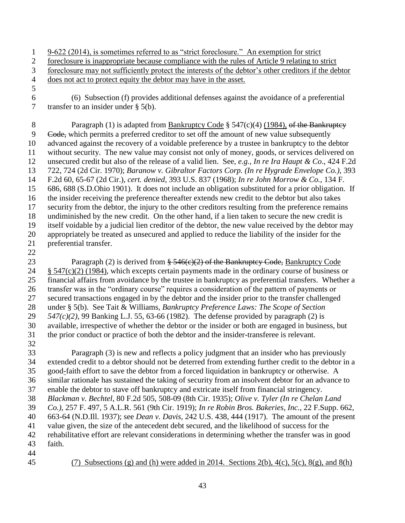- 9-622 (2014), is sometimes referred to as "strict foreclosure." An exemption for strict foreclosure is inappropriate because compliance with the rules of Article 9 relating to strict foreclosure may not sufficiently protect the interests of the debtor's other creditors if the debtor does not act to protect equity the debtor may have in the asset.
- 
- 

 (6) Subsection (f) provides additional defenses against the avoidance of a preferential 7 transfer to an insider under § 5(b).

8 Paragraph (1) is adapted from Bankruptcy Code § 547(c)(4) (1984), of the Bankruptcy 9 Code, which permits a preferred creditor to set off the amount of new value subsequently advanced against the recovery of a voidable preference by a trustee in bankruptcy to the debtor without security. The new value may consist not only of money, goods, or services delivered on unsecured credit but also of the release of a valid lien. See, *e.g., In re Ira Haupt & Co*., 424 F.2d 722, 724 (2d Cir. 1970); *Baranow v. Gibraltor Factors Corp. (In re Hygrade Envelope Co.),* 393 F.2d 60, 65-67 (2d Cir.), *cert. denied*, 393 U.S. 837 (1968); *In re John Morrow & Co.,* 134 F. 686, 688 (S.D.Ohio 1901). It does not include an obligation substituted for a prior obligation. If the insider receiving the preference thereafter extends new credit to the debtor but also takes security from the debtor, the injury to the other creditors resulting from the preference remains undiminished by the new credit. On the other hand, if a lien taken to secure the new credit is itself voidable by a judicial lien creditor of the debtor, the new value received by the debtor may appropriately be treated as unsecured and applied to reduce the liability of the insider for the preferential transfer.

23 Paragraph (2) is derived from  $\frac{2546(c)(2)}{c}$  of the Bankruptcy Code, Bankruptcy Code  $24 \frac{\sqrt{2}}{3}$  547(c)(2) (1984), which excepts certain payments made in the ordinary course of business or financial affairs from avoidance by the trustee in bankruptcy as preferential transfers. Whether a transfer was in the "ordinary course" requires a consideration of the pattern of payments or secured transactions engaged in by the debtor and the insider prior to the transfer challenged under § 5(b). See Tait & Williams, *Bankruptcy Preference Laws: The Scope of Section 547(c)(2),* 99 Banking L.J. 55, 63-66 (1982). The defense provided by paragraph (2) is available, irrespective of whether the debtor or the insider or both are engaged in business, but the prior conduct or practice of both the debtor and the insider-transferee is relevant. 

 Paragraph (3) is new and reflects a policy judgment that an insider who has previously extended credit to a debtor should not be deterred from extending further credit to the debtor in a good-faith effort to save the debtor from a forced liquidation in bankruptcy or otherwise. A similar rationale has sustained the taking of security from an insolvent debtor for an advance to enable the debtor to stave off bankruptcy and extricate itself from financial stringency. *Blackman v. Bechtel*, 80 F.2d 505, 508-09 (8th Cir. 1935); *Olive v. Tyler (In re Chelan Land Co.),* 257 F. 497, 5 A.L.R. 561 (9th Cir. 1919); *In re Robin Bros. Bakeries, Inc.,* 22 F.Supp. 662, 663-64 (N.D.Ill. 1937); see *Dean v. Davis,* 242 U.S. 438, 444 (1917). The amount of the present value given, the size of the antecedent debt secured, and the likelihood of success for the rehabilitative effort are relevant considerations in determining whether the transfer was in good faith.

- 
- 

(7) Subsections (g) and (h) were added in 2014. Sections 2(b), 4(c), 5(c), 8(g), and 8(h)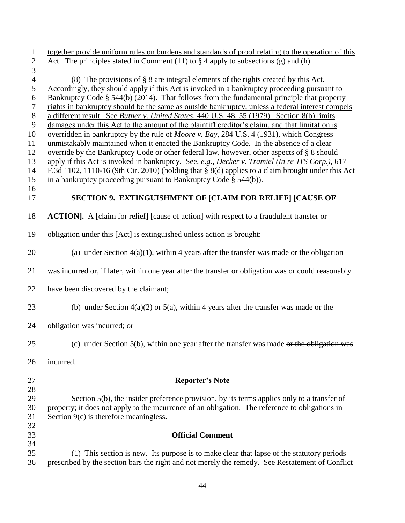| $\mathbf{1}$   | together provide uniform rules on burdens and standards of proof relating to the operation of this                                                                                            |
|----------------|-----------------------------------------------------------------------------------------------------------------------------------------------------------------------------------------------|
| $\overline{c}$ | Act. The principles stated in Comment (11) to $\S 4$ apply to subsections (g) and (h).                                                                                                        |
| $\overline{3}$ |                                                                                                                                                                                               |
| $\overline{4}$ | (8) The provisions of $\S$ 8 are integral elements of the rights created by this Act.                                                                                                         |
| 5              | Accordingly, they should apply if this Act is invoked in a bankruptcy proceeding pursuant to                                                                                                  |
| 6              | Bankruptcy Code $\S$ 544(b) (2014). That follows from the fundamental principle that property                                                                                                 |
| $\sqrt{ }$     | rights in bankruptcy should be the same as outside bankruptcy, unless a federal interest compels                                                                                              |
| $8\,$          | a different result. See Butner v. United States, 440 U.S. 48, 55 (1979). Section 8(b) limits                                                                                                  |
| 9              | damages under this Act to the amount of the plaintiff creditor's claim, and that limitation is                                                                                                |
| 10             | overridden in bankruptcy by the rule of <i>Moore v. Bay</i> , 284 U.S. 4 (1931), which Congress                                                                                               |
| 11             | unmistakably maintained when it enacted the Bankruptcy Code. In the absence of a clear                                                                                                        |
| 12             | override by the Bankruptcy Code or other federal law, however, other aspects of § 8 should                                                                                                    |
| 13             | apply if this Act is invoked in bankruptcy. See, e.g., Decker v. Tramiel (In re JTS Corp.), 617                                                                                               |
| 14             | F.3d 1102, 1110-16 (9th Cir. 2010) (holding that § 8(d) applies to a claim brought under this Act                                                                                             |
| 15             | in a bankruptcy proceeding pursuant to Bankruptcy Code § 544(b)).                                                                                                                             |
| 16             |                                                                                                                                                                                               |
| 17             | SECTION 9. EXTINGUISHMENT OF [CLAIM FOR RELIEF] [CAUSE OF                                                                                                                                     |
| 18             | <b>ACTION</b> ]. A [claim for relief] [cause of action] with respect to a fraudulent transfer or                                                                                              |
| 19             | obligation under this [Act] is extinguished unless action is brought:                                                                                                                         |
| 20             | (a) under Section $4(a)(1)$ , within 4 years after the transfer was made or the obligation                                                                                                    |
| 21             | was incurred or, if later, within one year after the transfer or obligation was or could reasonably                                                                                           |
| 22             | have been discovered by the claimant;                                                                                                                                                         |
| 23             | (b) under Section $4(a)(2)$ or $5(a)$ , within 4 years after the transfer was made or the                                                                                                     |
| 24             | obligation was incurred; or                                                                                                                                                                   |
| 25             | (c) under Section $5(b)$ , within one year after the transfer was made $\theta$ r the obligation was                                                                                          |
| 26             | incurred.                                                                                                                                                                                     |
| 27             | <b>Reporter's Note</b>                                                                                                                                                                        |
| 28             |                                                                                                                                                                                               |
| 29<br>30       | Section 5(b), the insider preference provision, by its terms applies only to a transfer of<br>property; it does not apply to the incurrence of an obligation. The reference to obligations in |
| 31             | Section $9(c)$ is therefore meaningless.                                                                                                                                                      |
| 32             |                                                                                                                                                                                               |
| 33<br>34       | <b>Official Comment</b>                                                                                                                                                                       |
| 35<br>36       | (1) This section is new. Its purpose is to make clear that lapse of the statutory periods<br>prescribed by the section bars the right and not merely the remedy. See Restatement of Conflict  |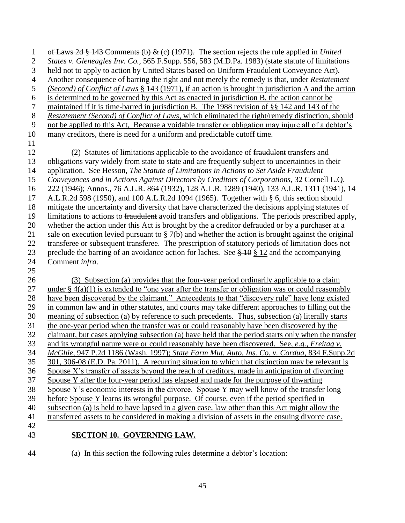of Laws 2d § 143 Comments (b) & (c) (1971). The section rejects the rule applied in *United States v. Gleneagles Inv. Co.,* 565 F.Supp. 556, 583 (M.D.Pa. 1983) (state statute of limitations held not to apply to action by United States based on Uniform Fraudulent Conveyance Act). Another consequence of barring the right and not merely the remedy is that, under *Restatement (Second) of Conflict of Laws* § 143 (1971), if an action is brought in jurisdiction A and the action is determined to be governed by this Act as enacted in jurisdiction B, the action cannot be maintained if it is time-barred in jurisdiction B. The 1988 revision of §§ 142 and 143 of the *Restatement (Second) of Conflict of Laws*, which eliminated the right/remedy distinction, should not be applied to this Act, Because a voidable transfer or obligation may injure all of a debtor's 10 many creditors, there is need for a uniform and predictable cutoff time. (2) Statutes of limitations applicable to the avoidance of fraudulent transfers and obligations vary widely from state to state and are frequently subject to uncertainties in their application. See Hesson, *The Statute of Limitations in Actions to Set Aside Fraudulent Conveyances and in Actions Against Directors by Creditors of Corporations,* 32 Cornell L.Q. 222 (1946); Annos., 76 A.L.R. 864 (1932), 128 A.L.R. 1289 (1940), 133 A.L.R. 1311 (1941), 14 A.L.R.2d 598 (1950), and 100 A.L.R.2d 1094 (1965). Together with § 6, this section should mitigate the uncertainty and diversity that have characterized the decisions applying statutes of 19 limitations to actions to fraudulent avoid transfers and obligations. The periods prescribed apply, 20 whether the action under this Act is brought by the  $\alpha$  creditor defrauded or by a purchaser at a sale on execution levied pursuant to § 7(b) and whether the action is brought against the original transferee or subsequent transferee. The prescription of statutory periods of limitation does not 23 preclude the barring of an avoidance action for laches. See  $\frac{10}{3}$  12 and the accompanying Comment *infra*. (3) Subsection (a) provides that the four-year period ordinarily applicable to a claim 27 under  $\S 4(a)(1)$  is extended to "one year after the transfer or obligation was or could reasonably have been discovered by the claimant." Antecedents to that "discovery rule" have long existed in common law and in other statutes, and courts may take different approaches to filling out the meaning of subsection (a) by reference to such precedents. Thus, subsection (a) literally starts the one-year period when the transfer was or could reasonably have been discovered by the claimant, but cases applying subsection (a) have held that the period starts only when the transfer and its wrongful nature were or could reasonably have been discovered. See, *e.g., Freitag v. McGhie*, 947 P.2d 1186 (Wash. 1997); *State Farm Mut. Auto. Ins. Co. v. Cordua*, 834 F.Supp.2d 301, 306-08 (E.D. Pa. 2011). A recurring situation to which that distinction may be relevant is Spouse X's transfer of assets beyond the reach of creditors, made in anticipation of divorcing Spouse Y after the four-year period has elapsed and made for the purpose of thwarting Spouse Y's economic interests in the divorce. Spouse Y may well know of the transfer long before Spouse Y learns its wrongful purpose. Of course, even if the period specified in subsection (a) is held to have lapsed in a given case, law other than this Act might allow the transferred assets to be considered in making a division of assets in the ensuing divorce case. **SECTION 10. GOVERNING LAW.**

(a) In this section the following rules determine a debtor's location: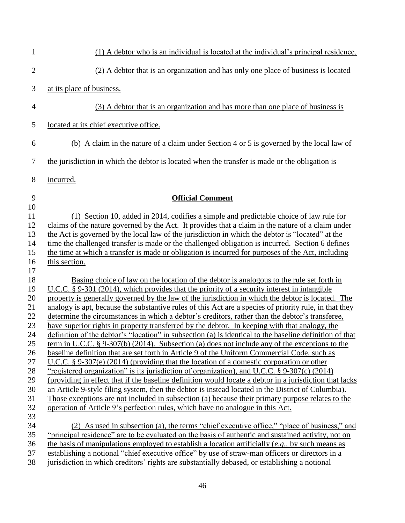| $\mathbf{1}$   | (1) A debtor who is an individual is located at the individual's principal residence.                                                                                                       |
|----------------|---------------------------------------------------------------------------------------------------------------------------------------------------------------------------------------------|
| $\overline{2}$ | (2) A debtor that is an organization and has only one place of business is located                                                                                                          |
| $\mathfrak{Z}$ | at its place of business.                                                                                                                                                                   |
| $\overline{4}$ | (3) A debtor that is an organization and has more than one place of business is                                                                                                             |
| 5              | located at its chief executive office.                                                                                                                                                      |
| 6              | (b) A claim in the nature of a claim under Section 4 or 5 is governed by the local law of                                                                                                   |
| 7              | the jurisdiction in which the debtor is located when the transfer is made or the obligation is                                                                                              |
| 8              | incurred.                                                                                                                                                                                   |
| 9              | <b>Official Comment</b>                                                                                                                                                                     |
| 10             |                                                                                                                                                                                             |
| 11             | (1) Section 10, added in 2014, codifies a simple and predictable choice of law rule for                                                                                                     |
| 12             | claims of the nature governed by the Act. It provides that a claim in the nature of a claim under                                                                                           |
| 13             | the Act is governed by the local law of the jurisdiction in which the debtor is "located" at the                                                                                            |
| 14             | time the challenged transfer is made or the challenged obligation is incurred. Section 6 defines                                                                                            |
| 15             | the time at which a transfer is made or obligation is incurred for purposes of the Act, including                                                                                           |
| 16             | this section.                                                                                                                                                                               |
| 17             |                                                                                                                                                                                             |
| 18             | Basing choice of law on the location of the debtor is analogous to the rule set forth in                                                                                                    |
| 19             | U.C.C. § 9-301 (2014), which provides that the priority of a security interest in intangible                                                                                                |
| 20             | property is generally governed by the law of the jurisdiction in which the debtor is located. The                                                                                           |
| 21             | analogy is apt, because the substantive rules of this Act are a species of priority rule, in that they                                                                                      |
| 22             | determine the circumstances in which a debtor's creditors, rather than the debtor's transferee,                                                                                             |
| 23             | have superior rights in property transferred by the debtor. In keeping with that analogy, the                                                                                               |
| 24             | definition of the debtor's "location" in subsection (a) is identical to the baseline definition of that                                                                                     |
| 25             | term in U.C.C. § 9-307(b) (2014). Subsection (a) does not include any of the exceptions to the                                                                                              |
| 26             | baseline definition that are set forth in Article 9 of the Uniform Commercial Code, such as                                                                                                 |
| 27<br>28       | U.C.C. $\S$ 9-307(e) (2014) (providing that the location of a domestic corporation or other<br>"registered organization" is its jurisdiction of organization), and U.C.C. § 9-307(c) (2014) |
| 29             | (providing in effect that if the baseline definition would locate a debtor in a jurisdiction that lacks                                                                                     |
| 30             | an Article 9-style filing system, then the debtor is instead located in the District of Columbia).                                                                                          |
| 31             | Those exceptions are not included in subsection (a) because their primary purpose relates to the                                                                                            |
| 32             | operation of Article 9's perfection rules, which have no analogue in this Act.                                                                                                              |
| 33             |                                                                                                                                                                                             |
| 34             | (2) As used in subsection (a), the terms "chief executive office," "place of business," and                                                                                                 |
| 35             | "principal residence" are to be evaluated on the basis of authentic and sustained activity, not on                                                                                          |
| 36             | the basis of manipulations employed to establish a location artificially $(e.g., by$ such means as                                                                                          |
| 37             | establishing a notional "chief executive office" by use of straw-man officers or directors in a                                                                                             |
| 38             | jurisdiction in which creditors' rights are substantially debased, or establishing a notional                                                                                               |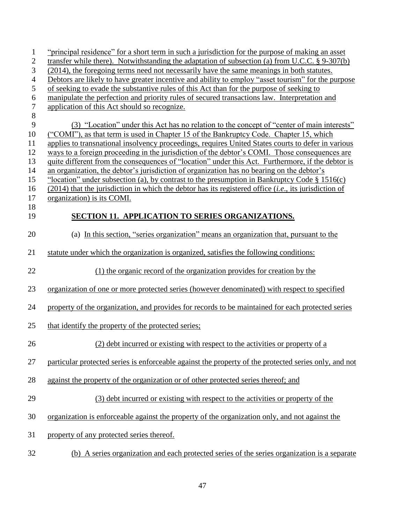| $\mathbf{1}$      | "principal residence" for a short term in such a jurisdiction for the purpose of making an asset<br>transfer while there). Notwithstanding the adaptation of subsection (a) from U.C.C. $\S$ 9-307(b) |
|-------------------|-------------------------------------------------------------------------------------------------------------------------------------------------------------------------------------------------------|
| $\mathbf{2}$<br>3 | (2014), the foregoing terms need not necessarily have the same meanings in both statutes.                                                                                                             |
|                   |                                                                                                                                                                                                       |
| $\overline{4}$    | Debtors are likely to have greater incentive and ability to employ "asset tourism" for the purpose                                                                                                    |
| $\mathfrak{S}$    | of seeking to evade the substantive rules of this Act than for the purpose of seeking to                                                                                                              |
| 6                 | manipulate the perfection and priority rules of secured transactions law. Interpretation and                                                                                                          |
| $\boldsymbol{7}$  | application of this Act should so recognize.                                                                                                                                                          |
| $8\,$             |                                                                                                                                                                                                       |
| 9                 | (3) "Location" under this Act has no relation to the concept of "center of main interests"                                                                                                            |
| 10                | ("COMI"), as that term is used in Chapter 15 of the Bankruptcy Code. Chapter 15, which                                                                                                                |
| 11                | applies to transnational insolvency proceedings, requires United States courts to defer in various                                                                                                    |
| 12                | ways to a foreign proceeding in the jurisdiction of the debtor's COMI. Those consequences are                                                                                                         |
| 13                | quite different from the consequences of "location" under this Act. Furthermore, if the debtor is                                                                                                     |
| 14                | an organization, the debtor's jurisdiction of organization has no bearing on the debtor's                                                                                                             |
| 15                | "location" under subsection (a), by contrast to the presumption in Bankruptcy Code $\S 1516(c)$                                                                                                       |
| 16                | (2014) that the jurisdiction in which the debtor has its registered office ( <i>i.e.</i> , its jurisdiction of                                                                                        |
| 17                | organization) is its COMI.                                                                                                                                                                            |
| 18                |                                                                                                                                                                                                       |
| 19                | SECTION 11. APPLICATION TO SERIES ORGANIZATIONS.                                                                                                                                                      |
| 20                | (a) In this section, "series organization" means an organization that, pursuant to the                                                                                                                |
| 21                | statute under which the organization is organized, satisfies the following conditions:                                                                                                                |
| 22                | (1) the organic record of the organization provides for creation by the                                                                                                                               |
| 23                | organization of one or more protected series (however denominated) with respect to specified                                                                                                          |
| 24                | property of the organization, and provides for records to be maintained for each protected series                                                                                                     |
| 25                | that identify the property of the protected series;                                                                                                                                                   |
| 26                | (2) debt incurred or existing with respect to the activities or property of a                                                                                                                         |
| 27                | particular protected series is enforceable against the property of the protected series only, and not                                                                                                 |
| 28                | against the property of the organization or of other protected series thereof; and                                                                                                                    |
| 29                | (3) debt incurred or existing with respect to the activities or property of the                                                                                                                       |
| 30                | organization is enforceable against the property of the organization only, and not against the                                                                                                        |
| 31                | property of any protected series thereof.                                                                                                                                                             |
| 32                | (b) A series organization and each protected series of the series organization is a separate                                                                                                          |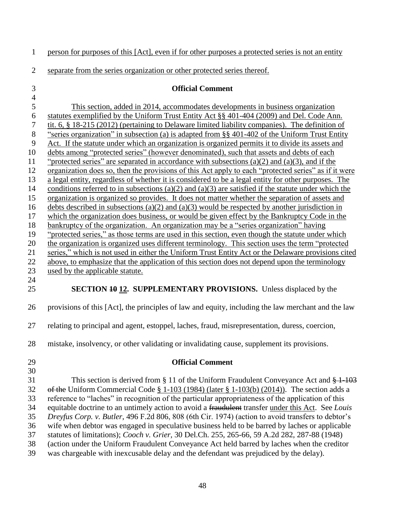| $\mathbf{1}$     | person for purposes of this [Act], even if for other purposes a protected series is not an entity                                                                                                           |
|------------------|-------------------------------------------------------------------------------------------------------------------------------------------------------------------------------------------------------------|
| $\mathbf{2}$     | separate from the series organization or other protected series thereof.                                                                                                                                    |
| 3                | <b>Official Comment</b>                                                                                                                                                                                     |
| $\overline{4}$   |                                                                                                                                                                                                             |
| 5                | This section, added in 2014, accommodates developments in business organization                                                                                                                             |
| 6                | statutes exemplified by the Uniform Trust Entity Act §§ 401-404 (2009) and Del. Code Ann.                                                                                                                   |
| $\boldsymbol{7}$ | tit. 6, § 18-215 (2012) (pertaining to Delaware limited liability companies). The definition of                                                                                                             |
| $\,8\,$          | "series organization" in subsection (a) is adapted from §§ 401-402 of the Uniform Trust Entity                                                                                                              |
| 9                | Act. If the statute under which an organization is organized permits it to divide its assets and                                                                                                            |
| 10               | debts among "protected series" (however denominated), such that assets and debts of each                                                                                                                    |
| 11<br>12         | "protected series" are separated in accordance with subsections $(a)(2)$ and $(a)(3)$ , and if the                                                                                                          |
| 13               | organization does so, then the provisions of this Act apply to each "protected series" as if it were<br>a legal entity, regardless of whether it is considered to be a legal entity for other purposes. The |
| 14               | conditions referred to in subsections (a)(2) and (a)(3) are satisfied if the statute under which the                                                                                                        |
| 15               | organization is organized so provides. It does not matter whether the separation of assets and                                                                                                              |
| 16               | debts described in subsections (a)(2) and (a)(3) would be respected by another jurisdiction in                                                                                                              |
| 17               | which the organization does business, or would be given effect by the Bankruptcy Code in the                                                                                                                |
| 18               | bankruptcy of the organization. An organization may be a "series organization" having                                                                                                                       |
| 19               | "protected series," as those terms are used in this section, even though the statute under which                                                                                                            |
| 20               | the organization is organized uses different terminology. This section uses the term "protected"                                                                                                            |
| 21               | series," which is not used in either the Uniform Trust Entity Act or the Delaware provisions cited                                                                                                          |
| 22               | above, to emphasize that the application of this section does not depend upon the terminology                                                                                                               |
| 23               | used by the applicable statute.                                                                                                                                                                             |
| 24               |                                                                                                                                                                                                             |
| 25               | SECTION 10 12. SUPPLEMENTARY PROVISIONS. Unless displaced by the                                                                                                                                            |
| 26               | provisions of this [Act], the principles of law and equity, including the law merchant and the law                                                                                                          |
| 27               | relating to principal and agent, estoppel, laches, fraud, misrepresentation, duress, coercion,                                                                                                              |
| 28               | mistake, insolvency, or other validating or invalidating cause, supplement its provisions.                                                                                                                  |
| 29               | <b>Official Comment</b>                                                                                                                                                                                     |
| $30\,$           |                                                                                                                                                                                                             |
| 31               | This section is derived from $\S 11$ of the Uniform Fraudulent Conveyance Act and $\S 1-103$                                                                                                                |
| 32               | of the Uniform Commercial Code § 1-103 (1984) (later § 1-103(b) (2014)). The section adds a                                                                                                                 |
| 33               | reference to "laches" in recognition of the particular appropriateness of the application of this                                                                                                           |
| 34               | equitable doctrine to an untimely action to avoid a fraudulent transfer under this Act. See Louis                                                                                                           |
| 35               | Dreyfus Corp. v. Butler, 496 F.2d 806, 808 (6th Cir. 1974) (action to avoid transfers to debtor's                                                                                                           |
| 36               | wife when debtor was engaged in speculative business held to be barred by laches or applicable                                                                                                              |
| 37               | statutes of limitations); Cooch v. Grier, 30 Del.Ch. 255, 265-66, 59 A.2d 282, 287-88 (1948)                                                                                                                |
| 38               | (action under the Uniform Fraudulent Conveyance Act held barred by laches when the creditor                                                                                                                 |
| 39               | was chargeable with inexcusable delay and the defendant was prejudiced by the delay).                                                                                                                       |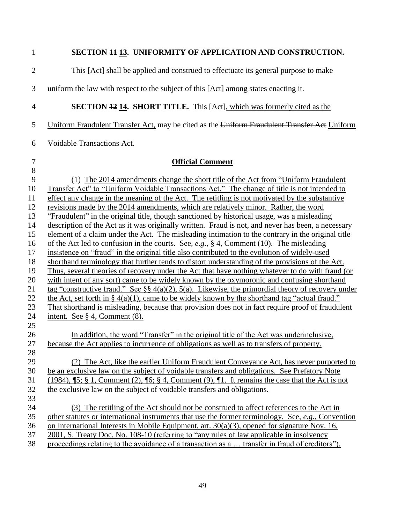#### **SECTION 11 13. UNIFORMITY OF APPLICATION AND CONSTRUCTION.**

This [Act] shall be applied and construed to effectuate its general purpose to make

uniform the law with respect to the subject of this [Act] among states enacting it.

**SECTION 12 14. SHORT TITLE.** This [Act], which was formerly cited as the

5 Uniform Fraudulent Transfer Act, may be cited as the Uniform Fraudulent Transfer Act Uniform

#### Voidable Transactions Act.

## **Official Comment**

 (1) The 2014 amendments change the short title of the Act from "Uniform Fraudulent Transfer Act" to "Uniform Voidable Transactions Act." The change of title is not intended to effect any change in the meaning of the Act. The retitling is not motivated by the substantive revisions made by the 2014 amendments, which are relatively minor. Rather, the word "Fraudulent" in the original title, though sanctioned by historical usage, was a misleading description of the Act as it was originally written. Fraud is not, and never has been, a necessary element of a claim under the Act. The misleading intimation to the contrary in the original title of the Act led to confusion in the courts. See*, e.g.,* § 4, Comment (10). The misleading insistence on "fraud" in the original title also contributed to the evolution of widely-used shorthand terminology that further tends to distort understanding of the provisions of the Act. Thus, several theories of recovery under the Act that have nothing whatever to do with fraud (or with intent of any sort) came to be widely known by the oxymoronic and confusing shorthand 21 tag "constructive fraud." See  $\S$ § 4(a)(2), 5(a). Likewise, the primordial theory of recovery under 22 the Act, set forth in  $\S 4(a)(1)$ , came to be widely known by the shorthand tag "actual fraud." That shorthand is misleading, because that provision does not in fact require proof of fraudulent intent. See § 4, Comment (8). In addition, the word "Transfer" in the original title of the Act was underinclusive, because the Act applies to incurrence of obligations as well as to transfers of property. (2) The Act, like the earlier Uniform Fraudulent Conveyance Act, has never purported to be an exclusive law on the subject of voidable transfers and obligations. See Prefatory Note (1984), ¶5; § 1, Comment (2), ¶6; § 4, Comment (9), ¶1. It remains the case that the Act is not the exclusive law on the subject of voidable transfers and obligations. (3) The retitling of the Act should not be construed to affect references to the Act in other statutes or international instruments that use the former terminology. See, *e.g.,* Convention on International Interests in Mobile Equipment, art. 30(a)(3), opened for signature Nov. 16, 2001, S. Treaty Doc. No. 108-10 (referring to "any rules of law applicable in insolvency

proceedings relating to the avoidance of a transaction as a … transfer in fraud of creditors").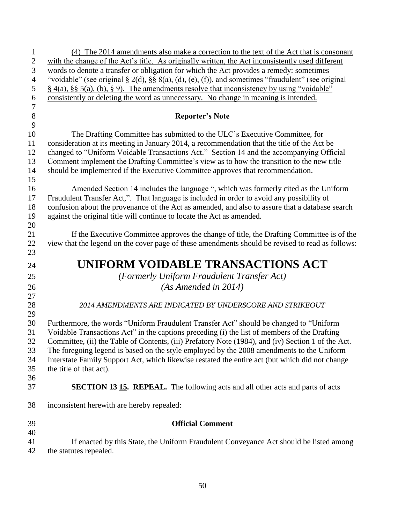| $\mathbf{1}$   | (4) The 2014 amendments also make a correction to the text of the Act that is consonant                                 |
|----------------|-------------------------------------------------------------------------------------------------------------------------|
| $\mathbf{2}$   | with the change of the Act's title. As originally written, the Act inconsistently used different                        |
| $\mathfrak{Z}$ | words to denote a transfer or obligation for which the Act provides a remedy: sometimes                                 |
| $\overline{4}$ | "voidable" (see original $\S 2(d)$ , $\S \ \ \mathcal{S}(a)$ , (d), (e), (f)), and sometimes "fraudulent" (see original |
| 5              | $\S$ 4(a), §§ 5(a), (b), § 9). The amendments resolve that inconsistency by using "voidable"                            |
| 6              | consistently or deleting the word as unnecessary. No change in meaning is intended.                                     |
| $\tau$         |                                                                                                                         |
| $8\,$          | <b>Reporter's Note</b>                                                                                                  |
| 9              |                                                                                                                         |
| $10\,$         | The Drafting Committee has submitted to the ULC's Executive Committee, for                                              |
| 11             | consideration at its meeting in January 2014, a recommendation that the title of the Act be                             |
| 12             | changed to "Uniform Voidable Transactions Act." Section 14 and the accompanying Official                                |
| 13             | Comment implement the Drafting Committee's view as to how the transition to the new title                               |
| 14             | should be implemented if the Executive Committee approves that recommendation.                                          |
| 15             |                                                                                                                         |
| 16             | Amended Section 14 includes the language ", which was formerly cited as the Uniform                                     |
| 17             | Fraudulent Transfer Act,". That language is included in order to avoid any possibility of                               |
| 18             | confusion about the provenance of the Act as amended, and also to assure that a database search                         |
| 19             | against the original title will continue to locate the Act as amended.                                                  |
| 20             |                                                                                                                         |
| 21             | If the Executive Committee approves the change of title, the Drafting Committee is of the                               |
| 22             | view that the legend on the cover page of these amendments should be revised to read as follows:                        |
| 23             |                                                                                                                         |
|                |                                                                                                                         |
| 24             | UNIFORM VOIDABLE TRANSACTIONS ACT                                                                                       |
| 25             | (Formerly Uniform Fraudulent Transfer Act)                                                                              |
| 26             | (As Amented in 2014)                                                                                                    |
| 27             |                                                                                                                         |
| 28             | 2014 AMENDMENTS ARE INDICATED BY UNDERSCORE AND STRIKEOUT                                                               |
| 29             |                                                                                                                         |
| 30             | Furthermore, the words "Uniform Fraudulent Transfer Act" should be changed to "Uniform                                  |
| 31             | Voidable Transactions Act" in the captions preceding (i) the list of members of the Drafting                            |
| 32             | Committee, (ii) the Table of Contents, (iii) Prefatory Note (1984), and (iv) Section 1 of the Act.                      |
| 33             | The foregoing legend is based on the style employed by the 2008 amendments to the Uniform                               |
| 34             | Interstate Family Support Act, which likewise restated the entire act (but which did not change                         |
| 35             | the title of that act).                                                                                                 |
| 36             |                                                                                                                         |
| 37             | <b>SECTION 43 15. REPEAL.</b> The following acts and all other acts and parts of acts                                   |
|                |                                                                                                                         |
| 38             | inconsistent herewith are hereby repealed:                                                                              |
| 39             | <b>Official Comment</b>                                                                                                 |
| 40             |                                                                                                                         |
| 41             | If enacted by this State, the Uniform Fraudulent Conveyance Act should be listed among                                  |
| 42             | the statutes repealed.                                                                                                  |
|                |                                                                                                                         |